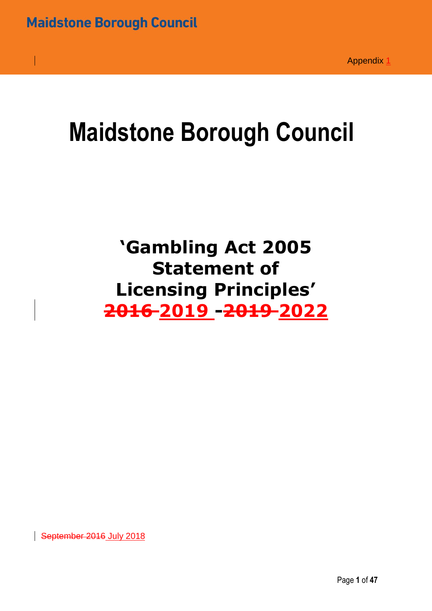# **Maidstone Borough Council**

## **'Gambling Act 2005 Statement of Licensing Principles' 2016 2019 -2019 2022**

September 2016 July 2018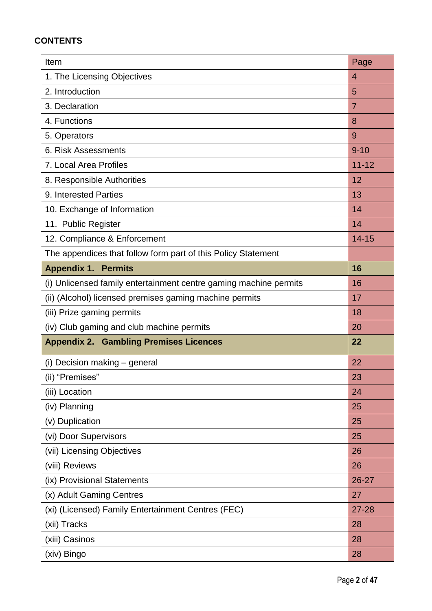#### **CONTENTS**

| Item                                                              | Page           |
|-------------------------------------------------------------------|----------------|
| 1. The Licensing Objectives                                       | $\overline{4}$ |
| 2. Introduction                                                   | 5              |
| 3. Declaration                                                    | $\overline{7}$ |
| 4. Functions                                                      | 8              |
| 5. Operators                                                      | 9              |
| 6. Risk Assessments                                               | $9 - 10$       |
| 7. Local Area Profiles                                            | $11 - 12$      |
| 8. Responsible Authorities                                        | 12             |
| 9. Interested Parties                                             | 13             |
| 10. Exchange of Information                                       | 14             |
| 11. Public Register                                               | 14             |
| 12. Compliance & Enforcement                                      | $14 - 15$      |
| The appendices that follow form part of this Policy Statement     |                |
| <b>Appendix 1. Permits</b>                                        | 16             |
| (i) Unlicensed family entertainment centre gaming machine permits | 16             |
| (ii) (Alcohol) licensed premises gaming machine permits           | 17             |
| (iii) Prize gaming permits                                        | 18             |
| (iv) Club gaming and club machine permits                         | 20             |
| <b>Appendix 2. Gambling Premises Licences</b>                     | 22             |
| (i) Decision making - general                                     | 22             |
| (ii) "Premises"                                                   | 23             |
| (iii) Location                                                    | 24             |
| (iv) Planning                                                     | 25             |
| (v) Duplication                                                   | 25             |
| (vi) Door Supervisors                                             | 25             |
| (vii) Licensing Objectives                                        | 26             |
| (viii) Reviews                                                    | 26             |
| (ix) Provisional Statements                                       | 26-27          |
| (x) Adult Gaming Centres                                          | 27             |
| (xi) (Licensed) Family Entertainment Centres (FEC)                | 27-28          |
| (xii) Tracks                                                      | 28             |
| (xiii) Casinos                                                    | 28             |
| (xiv) Bingo                                                       | 28             |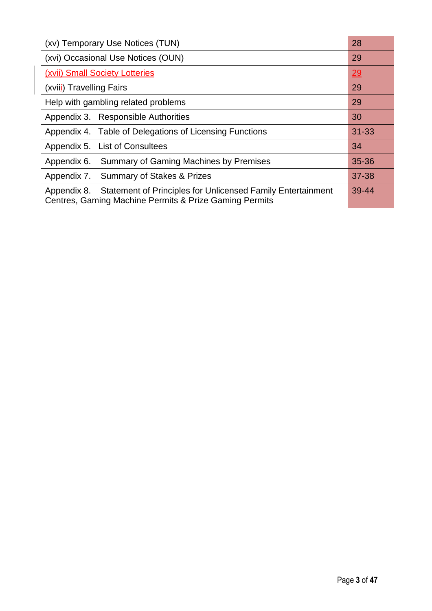| (xv) Temporary Use Notices (TUN)                                                                                                  |           |  |
|-----------------------------------------------------------------------------------------------------------------------------------|-----------|--|
| (xvi) Occasional Use Notices (OUN)                                                                                                | 29        |  |
| (xvii) Small Society Lotteries                                                                                                    | 29        |  |
| (xviii) Travelling Fairs                                                                                                          | 29        |  |
| Help with gambling related problems                                                                                               | 29        |  |
| Appendix 3. Responsible Authorities                                                                                               | 30        |  |
| Appendix 4. Table of Delegations of Licensing Functions                                                                           | $31 - 33$ |  |
| Appendix 5. List of Consultees                                                                                                    | 34        |  |
| Summary of Gaming Machines by Premises<br>Appendix 6.                                                                             | 35-36     |  |
| Appendix 7. Summary of Stakes & Prizes                                                                                            | 37-38     |  |
| Appendix 8. Statement of Principles for Unlicensed Family Entertainment<br>Centres, Gaming Machine Permits & Prize Gaming Permits |           |  |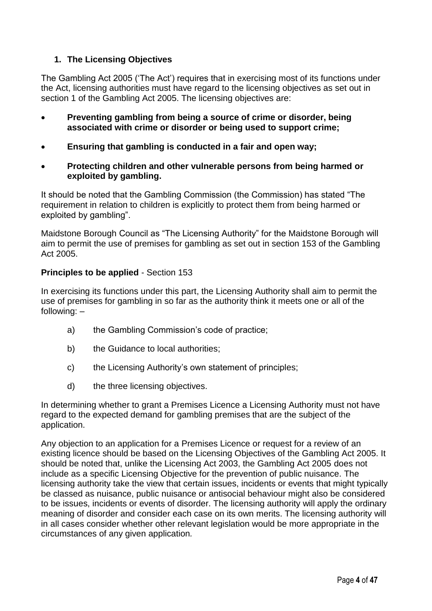#### **1. The Licensing Objectives**

The Gambling Act 2005 ('The Act') requires that in exercising most of its functions under the Act, licensing authorities must have regard to the licensing objectives as set out in section 1 of the Gambling Act 2005. The licensing objectives are:

- **Preventing gambling from being a source of crime or disorder, being associated with crime or disorder or being used to support crime;**
- **Ensuring that gambling is conducted in a fair and open way;**
- **Protecting children and other vulnerable persons from being harmed or exploited by gambling.**

It should be noted that the Gambling Commission (the Commission) has stated "The requirement in relation to children is explicitly to protect them from being harmed or exploited by gambling".

Maidstone Borough Council as "The Licensing Authority" for the Maidstone Borough will aim to permit the use of premises for gambling as set out in section 153 of the Gambling Act 2005.

#### **Principles to be applied** - Section 153

In exercising its functions under this part, the Licensing Authority shall aim to permit the use of premises for gambling in so far as the authority think it meets one or all of the following: –

- a) the Gambling Commission's code of practice;
- b) the Guidance to local authorities:
- c) the Licensing Authority's own statement of principles;
- d) the three licensing objectives.

In determining whether to grant a Premises Licence a Licensing Authority must not have regard to the expected demand for gambling premises that are the subject of the application.

Any objection to an application for a Premises Licence or request for a review of an existing licence should be based on the Licensing Objectives of the Gambling Act 2005. It should be noted that, unlike the Licensing Act 2003, the Gambling Act 2005 does not include as a specific Licensing Objective for the prevention of public nuisance. The licensing authority take the view that certain issues, incidents or events that might typically be classed as nuisance, public nuisance or antisocial behaviour might also be considered to be issues, incidents or events of disorder. The licensing authority will apply the ordinary meaning of disorder and consider each case on its own merits. The licensing authority will in all cases consider whether other relevant legislation would be more appropriate in the circumstances of any given application*.*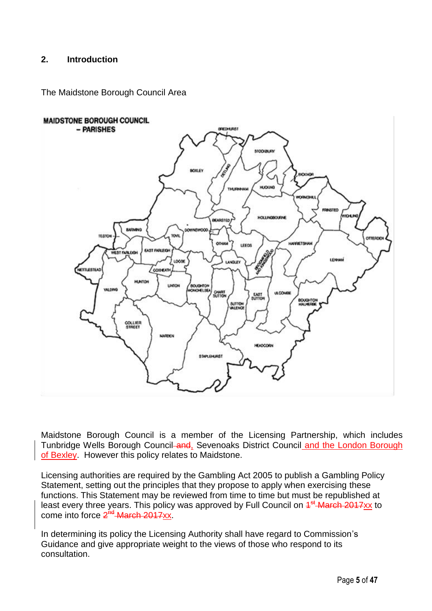#### **2. Introduction**

The Maidstone Borough Council Area



Maidstone Borough Council is a member of the Licensing Partnership, which includes Tunbridge Wells Borough Council and, Sevenoaks District Council and the London Borough [of Bexley.](http://www.google.co.uk/url?sa=t&rct=j&q=&esrc=s&source=web&cd=1&cad=rja&uact=8&ved=0ahUKEwj_t6q6p43cAhWNKVAKHVc4DhkQFggqMAA&url=http%3A%2F%2Fwww.bexley.gov.uk%2F&usg=AOvVaw20lAFeZbNDc1Vev5MAkeW4) However this policy relates to Maidstone.

Licensing authorities are required by the Gambling Act 2005 to publish a Gambling Policy Statement, setting out the principles that they propose to apply when exercising these functions. This Statement may be reviewed from time to time but must be republished at least every three years. This policy was approved by Full Council on  $4^{st}$  March 2017xx to come into force 2<sup>nd</sup> March 2017xx.

In determining its policy the Licensing Authority shall have regard to Commission's Guidance and give appropriate weight to the views of those who respond to its consultation.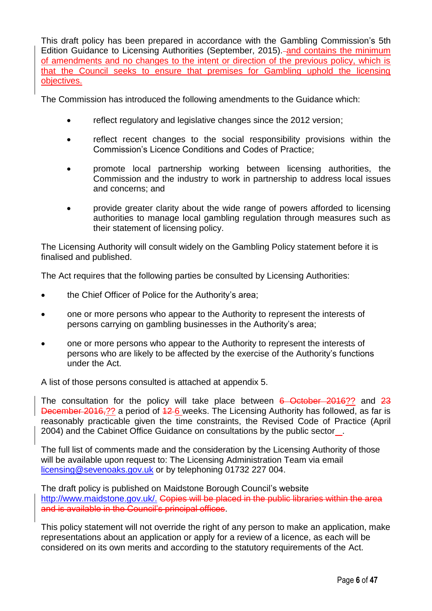This draft policy has been prepared in accordance with the Gambling Commission's 5th Edition Guidance to Licensing Authorities (September, 2015). and contains the minimum of amendments and no changes to the intent or direction of the previous policy, which is that the Council seeks to ensure that premises for Gambling uphold the licensing objectives.

The Commission has introduced the following amendments to the Guidance which:

- reflect regulatory and legislative changes since the 2012 version:
- reflect recent changes to the social responsibility provisions within the Commission's Licence Conditions and Codes of Practice;
- promote local partnership working between licensing authorities, the Commission and the industry to work in partnership to address local issues and concerns; and
- provide greater clarity about the wide range of powers afforded to licensing authorities to manage local gambling regulation through measures such as their statement of licensing policy.

The Licensing Authority will consult widely on the Gambling Policy statement before it is finalised and published.

The Act requires that the following parties be consulted by Licensing Authorities:

- the Chief Officer of Police for the Authority's area;
- one or more persons who appear to the Authority to represent the interests of persons carrying on gambling businesses in the Authority's area;
- one or more persons who appear to the Authority to represent the interests of persons who are likely to be affected by the exercise of the Authority's functions under the Act.

A list of those persons consulted is attached at appendix 5.

The consultation for the policy will take place between 6 October 2016?? and 23 December 2016,?? a period of  $\frac{12}{6}$  weeks. The Licensing Authority has followed, as far is reasonably practicable given the time constraints, the Revised Code of Practice (April 2004) and the Cabinet Office Guidance on consultations by the public sector .

The full list of comments made and the consideration by the Licensing Authority of those will be available upon request to: The Licensing Administration Team via email [licensing@sevenoaks.gov.uk](mailto:licensing@sevenoaks.gov.uk) or by telephoning 01732 227 004.

The draft policy is published on Maidstone Borough Council's website [http://www.maidstone.gov.uk/.](http://www.maidstone.gov.uk/.%20) Copies will be placed in the public libraries within the area and is available in the Council's principal offices.

This policy statement will not override the right of any person to make an application, make representations about an application or apply for a review of a licence, as each will be considered on its own merits and according to the statutory requirements of the Act.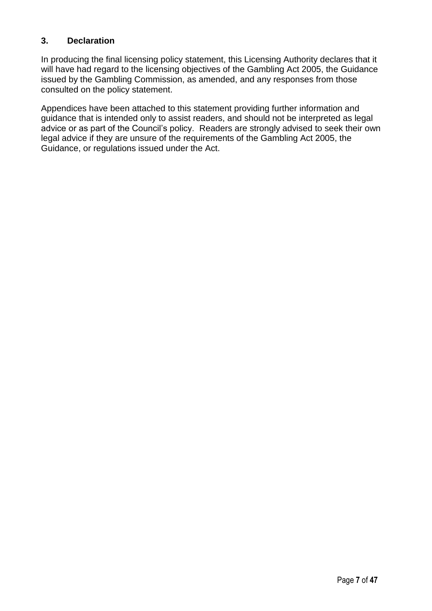#### **3. Declaration**

In producing the final licensing policy statement, this Licensing Authority declares that it will have had regard to the licensing objectives of the Gambling Act 2005, the Guidance issued by the Gambling Commission, as amended, and any responses from those consulted on the policy statement.

Appendices have been attached to this statement providing further information and guidance that is intended only to assist readers, and should not be interpreted as legal advice or as part of the Council's policy. Readers are strongly advised to seek their own legal advice if they are unsure of the requirements of the Gambling Act 2005, the Guidance, or regulations issued under the Act.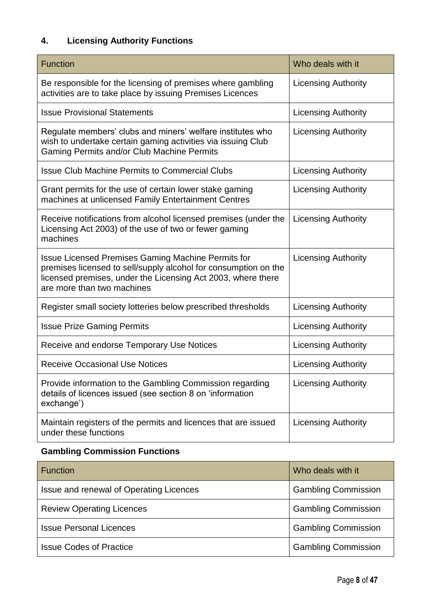### **4. Licensing Authority Functions**

| <b>Function</b>                                                                                                                                                                                                            | Who deals with it          |
|----------------------------------------------------------------------------------------------------------------------------------------------------------------------------------------------------------------------------|----------------------------|
| Be responsible for the licensing of premises where gambling<br>activities are to take place by issuing Premises Licences                                                                                                   | <b>Licensing Authority</b> |
| <b>Issue Provisional Statements</b>                                                                                                                                                                                        | <b>Licensing Authority</b> |
| Regulate members' clubs and miners' welfare institutes who<br>wish to undertake certain gaming activities via issuing Club<br>Gaming Permits and/or Club Machine Permits                                                   | <b>Licensing Authority</b> |
| <b>Issue Club Machine Permits to Commercial Clubs</b>                                                                                                                                                                      | <b>Licensing Authority</b> |
| Grant permits for the use of certain lower stake gaming<br>machines at unlicensed Family Entertainment Centres                                                                                                             | <b>Licensing Authority</b> |
| Receive notifications from alcohol licensed premises (under the<br>Licensing Act 2003) of the use of two or fewer gaming<br>machines                                                                                       | <b>Licensing Authority</b> |
| <b>Issue Licensed Premises Gaming Machine Permits for</b><br>premises licensed to sell/supply alcohol for consumption on the<br>licensed premises, under the Licensing Act 2003, where there<br>are more than two machines | <b>Licensing Authority</b> |
| Register small society lotteries below prescribed thresholds                                                                                                                                                               | <b>Licensing Authority</b> |
| <b>Issue Prize Gaming Permits</b>                                                                                                                                                                                          | <b>Licensing Authority</b> |
| Receive and endorse Temporary Use Notices                                                                                                                                                                                  | <b>Licensing Authority</b> |
| Receive Occasional Use Notices                                                                                                                                                                                             | <b>Licensing Authority</b> |
| Provide information to the Gambling Commission regarding<br>details of licences issued (see section 8 on 'information<br>exchange')                                                                                        | <b>Licensing Authority</b> |
| Maintain registers of the permits and licences that are issued<br>under these functions                                                                                                                                    | <b>Licensing Authority</b> |

#### **Gambling Commission Functions**

| <b>Function</b>                         | Who deals with it          |
|-----------------------------------------|----------------------------|
| Issue and renewal of Operating Licences | <b>Gambling Commission</b> |
| <b>Review Operating Licences</b>        | <b>Gambling Commission</b> |
| <b>Issue Personal Licences</b>          | <b>Gambling Commission</b> |
| <b>Issue Codes of Practice</b>          | <b>Gambling Commission</b> |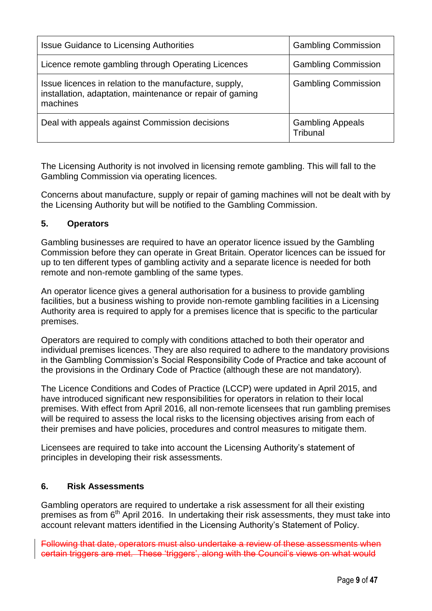| <b>Issue Guidance to Licensing Authorities</b>                                                                                  | <b>Gambling Commission</b>          |
|---------------------------------------------------------------------------------------------------------------------------------|-------------------------------------|
| Licence remote gambling through Operating Licences                                                                              | <b>Gambling Commission</b>          |
| Issue licences in relation to the manufacture, supply,<br>installation, adaptation, maintenance or repair of gaming<br>machines | <b>Gambling Commission</b>          |
| Deal with appeals against Commission decisions                                                                                  | <b>Gambling Appeals</b><br>Tribunal |

The Licensing Authority is not involved in licensing remote gambling. This will fall to the Gambling Commission via operating licences.

Concerns about manufacture, supply or repair of gaming machines will not be dealt with by the Licensing Authority but will be notified to the Gambling Commission.

#### **5. Operators**

Gambling businesses are required to have an operator licence issued by the Gambling Commission before they can operate in Great Britain. Operator licences can be issued for up to ten different types of gambling activity and a separate licence is needed for both remote and non-remote gambling of the same types.

An operator licence gives a general authorisation for a business to provide gambling facilities, but a business wishing to provide non-remote gambling facilities in a Licensing Authority area is required to apply for a premises licence that is specific to the particular premises.

Operators are required to comply with conditions attached to both their operator and individual premises licences. They are also required to adhere to the mandatory provisions in the Gambling Commission's Social Responsibility Code of Practice and take account of the provisions in the Ordinary Code of Practice (although these are not mandatory).

The Licence Conditions and Codes of Practice (LCCP) were updated in April 2015, and have introduced significant new responsibilities for operators in relation to their local premises. With effect from April 2016, all non-remote licensees that run gambling premises will be required to assess the local risks to the licensing objectives arising from each of their premises and have policies, procedures and control measures to mitigate them.

Licensees are required to take into account the Licensing Authority's statement of principles in developing their risk assessments.

#### **6. Risk Assessments**

Gambling operators are required to undertake a risk assessment for all their existing premises as from 6<sup>th</sup> April 2016. In undertaking their risk assessments, they must take into account relevant matters identified in the Licensing Authority's Statement of Policy.

Following that date, operators must also undertake a review of these assessments when certain triggers are met. These 'triggers', along with the Council's views on what would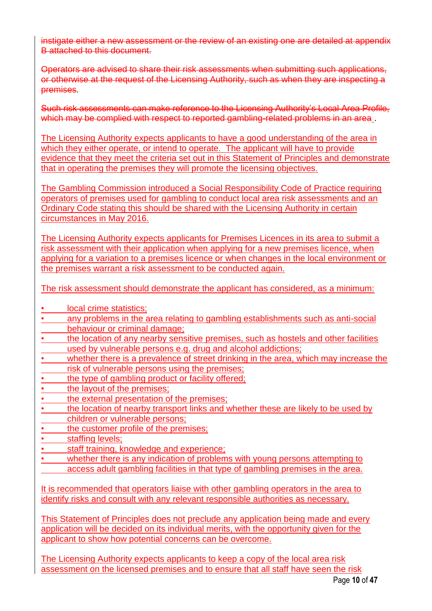instigate either a new assessment or the review of an existing one are detailed at appendix B attached to this document.

Operators are advised to share their risk assessments when submitting such applications, or otherwise at the request of the Licensing Authority, such as when they are inspecting a premises.

Such risk assessments can make reference to the Licensing Authority's Local Area Profile, which may be complied with respect to reported gambling-related problems in an area.

The Licensing Authority expects applicants to have a good understanding of the area in which they either operate, or intend to operate. The applicant will have to provide evidence that they meet the criteria set out in this Statement of Principles and demonstrate that in operating the premises they will promote the licensing objectives.

The Gambling Commission introduced a Social Responsibility Code of Practice requiring operators of premises used for gambling to conduct local area risk assessments and an Ordinary Code stating this should be shared with the Licensing Authority in certain circumstances in May 2016.

The Licensing Authority expects applicants for Premises Licences in its area to submit a risk assessment with their application when applying for a new premises licence, when applying for a variation to a premises licence or when changes in the local environment or the premises warrant a risk assessment to be conducted again.

The risk assessment should demonstrate the applicant has considered, as a minimum:

- local crime statistics:
- any problems in the area relating to gambling establishments such as anti-social behaviour or criminal damage;
- the location of any nearby sensitive premises, such as hostels and other facilities used by vulnerable persons e.g. drug and alcohol addictions;
- whether there is a prevalence of street drinking in the area, which may increase the risk of vulnerable persons using the premises;
- the type of gambling product or facility offered;
- the layout of the premises:
- the external presentation of the premises:
- the location of nearby transport links and whether these are likely to be used by children or vulnerable persons;
- the customer profile of the premises:
- staffing levels;
- staff training, knowledge and experience;
- whether there is any indication of problems with young persons attempting to access adult gambling facilities in that type of gambling premises in the area.

It is recommended that operators liaise with other gambling operators in the area to identify risks and consult with any relevant responsible authorities as necessary.

This Statement of Principles does not preclude any application being made and every application will be decided on its individual merits, with the opportunity given for the applicant to show how potential concerns can be overcome.

The Licensing Authority expects applicants to keep a copy of the local area risk assessment on the licensed premises and to ensure that all staff have seen the risk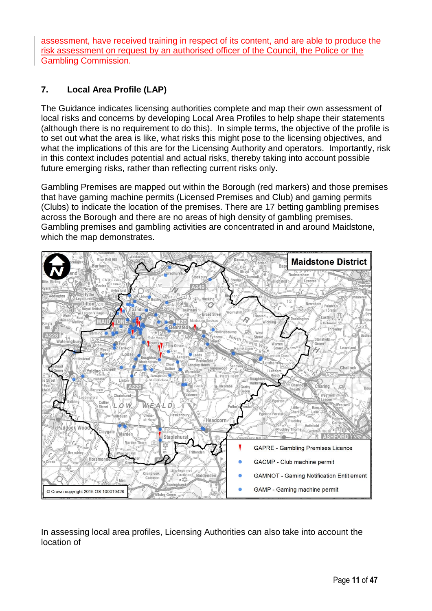assessment, have received training in respect of its content, and are able to produce the risk assessment on request by an authorised officer of the Council, the Police or the Gambling Commission.

#### **7. Local Area Profile (LAP)**

The Guidance indicates licensing authorities complete and map their own assessment of local risks and concerns by developing Local Area Profiles to help shape their statements (although there is no requirement to do this). In simple terms, the objective of the profile is to set out what the area is like, what risks this might pose to the licensing objectives, and what the implications of this are for the Licensing Authority and operators. Importantly, risk in this context includes potential and actual risks, thereby taking into account possible future emerging risks, rather than reflecting current risks only.

Gambling Premises are mapped out within the Borough (red markers) and those premises that have gaming machine permits (Licensed Premises and Club) and gaming permits (Clubs) to indicate the location of the premises. There are 17 betting gambling premises across the Borough and there are no areas of high density of gambling premises. Gambling premises and gambling activities are concentrated in and around Maidstone, which the map demonstrates.



In assessing local area profiles, Licensing Authorities can also take into account the location of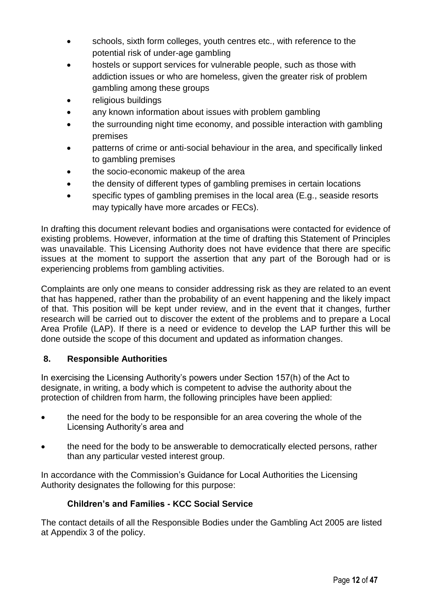- schools, sixth form colleges, youth centres etc., with reference to the potential risk of under-age gambling
- hostels or support services for vulnerable people, such as those with addiction issues or who are homeless, given the greater risk of problem gambling among these groups
- religious buildings
- any known information about issues with problem gambling
- the surrounding night time economy, and possible interaction with gambling premises
- patterns of crime or anti-social behaviour in the area, and specifically linked to gambling premises
- the socio-economic makeup of the area
- the density of different types of gambling premises in certain locations
- specific types of gambling premises in the local area (E.g., seaside resorts may typically have more arcades or FECs).

In drafting this document relevant bodies and organisations were contacted for evidence of existing problems. However, information at the time of drafting this Statement of Principles was unavailable. This Licensing Authority does not have evidence that there are specific issues at the moment to support the assertion that any part of the Borough had or is experiencing problems from gambling activities.

Complaints are only one means to consider addressing risk as they are related to an event that has happened, rather than the probability of an event happening and the likely impact of that. This position will be kept under review, and in the event that it changes, further research will be carried out to discover the extent of the problems and to prepare a Local Area Profile (LAP). If there is a need or evidence to develop the LAP further this will be done outside the scope of this document and updated as information changes.

#### **8. Responsible Authorities**

In exercising the Licensing Authority's powers under Section 157(h) of the Act to designate, in writing, a body which is competent to advise the authority about the protection of children from harm, the following principles have been applied:

- the need for the body to be responsible for an area covering the whole of the Licensing Authority's area and
- the need for the body to be answerable to democratically elected persons, rather than any particular vested interest group.

In accordance with the Commission's Guidance for Local Authorities the Licensing Authority designates the following for this purpose:

#### **Children's and Families - KCC Social Service**

The contact details of all the Responsible Bodies under the Gambling Act 2005 are listed at Appendix 3 of the policy.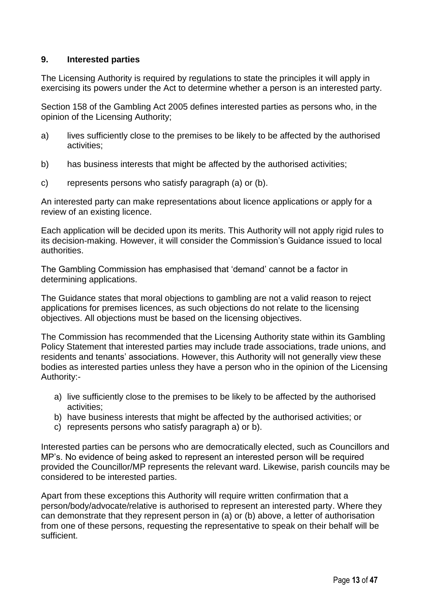#### **9. Interested parties**

The Licensing Authority is required by regulations to state the principles it will apply in exercising its powers under the Act to determine whether a person is an interested party.

Section 158 of the Gambling Act 2005 defines interested parties as persons who, in the opinion of the Licensing Authority;

- a) lives sufficiently close to the premises to be likely to be affected by the authorised activities;
- b) has business interests that might be affected by the authorised activities;
- c) represents persons who satisfy paragraph (a) or (b).

An interested party can make representations about licence applications or apply for a review of an existing licence.

Each application will be decided upon its merits. This Authority will not apply rigid rules to its decision-making. However, it will consider the Commission's Guidance issued to local authorities.

The Gambling Commission has emphasised that 'demand' cannot be a factor in determining applications.

The Guidance states that moral objections to gambling are not a valid reason to reject applications for premises licences, as such objections do not relate to the licensing objectives. All objections must be based on the licensing objectives.

The Commission has recommended that the Licensing Authority state within its Gambling Policy Statement that interested parties may include trade associations, trade unions, and residents and tenants' associations. However, this Authority will not generally view these bodies as interested parties unless they have a person who in the opinion of the Licensing Authority:-

- a) live sufficiently close to the premises to be likely to be affected by the authorised activities;
- b) have business interests that might be affected by the authorised activities; or
- c) represents persons who satisfy paragraph a) or b).

Interested parties can be persons who are democratically elected, such as Councillors and MP's. No evidence of being asked to represent an interested person will be required provided the Councillor/MP represents the relevant ward. Likewise, parish councils may be considered to be interested parties.

Apart from these exceptions this Authority will require written confirmation that a person/body/advocate/relative is authorised to represent an interested party. Where they can demonstrate that they represent person in (a) or (b) above, a letter of authorisation from one of these persons, requesting the representative to speak on their behalf will be sufficient.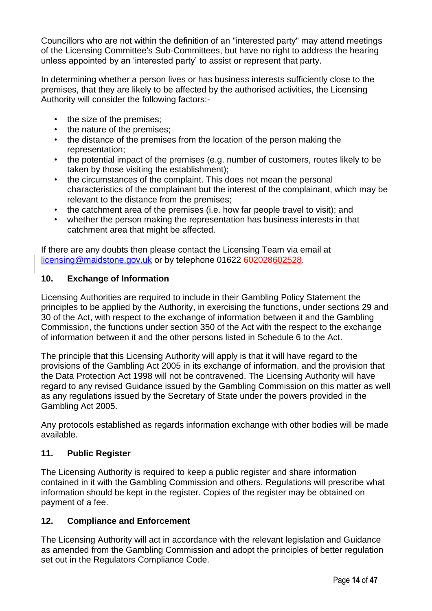Councillors who are not within the definition of an "interested party" may attend meetings of the Licensing Committee's Sub-Committees, but have no right to address the hearing unless appointed by an 'interested party' to assist or represent that party.

In determining whether a person lives or has business interests sufficiently close to the premises, that they are likely to be affected by the authorised activities, the Licensing Authority will consider the following factors:-

- the size of the premises;
- the nature of the premises;
- the distance of the premises from the location of the person making the representation;
- the potential impact of the premises (e.g. number of customers, routes likely to be taken by those visiting the establishment);
- the circumstances of the complaint. This does not mean the personal characteristics of the complainant but the interest of the complainant, which may be relevant to the distance from the premises;
- the catchment area of the premises (i.e. how far people travel to visit); and
- whether the person making the representation has business interests in that catchment area that might be affected.

If there are any doubts then please contact the Licensing Team via email at [licensing@maidstone.gov.uk](mailto:licensing@maidstone.gov.uk) or by telephone 01622 602028602528.

#### **10. Exchange of Information**

Licensing Authorities are required to include in their Gambling Policy Statement the principles to be applied by the Authority, in exercising the functions, under sections 29 and 30 of the Act, with respect to the exchange of information between it and the Gambling Commission, the functions under section 350 of the Act with the respect to the exchange of information between it and the other persons listed in Schedule 6 to the Act.

The principle that this Licensing Authority will apply is that it will have regard to the provisions of the Gambling Act 2005 in its exchange of information, and the provision that the Data Protection Act 1998 will not be contravened. The Licensing Authority will have regard to any revised Guidance issued by the Gambling Commission on this matter as well as any regulations issued by the Secretary of State under the powers provided in the Gambling Act 2005.

Any protocols established as regards information exchange with other bodies will be made available.

#### **11. Public Register**

The Licensing Authority is required to keep a public register and share information contained in it with the Gambling Commission and others. Regulations will prescribe what information should be kept in the register. Copies of the register may be obtained on payment of a fee.

#### **12. Compliance and Enforcement**

The Licensing Authority will act in accordance with the relevant legislation and Guidance as amended from the Gambling Commission and adopt the principles of better regulation set out in the Regulators Compliance Code.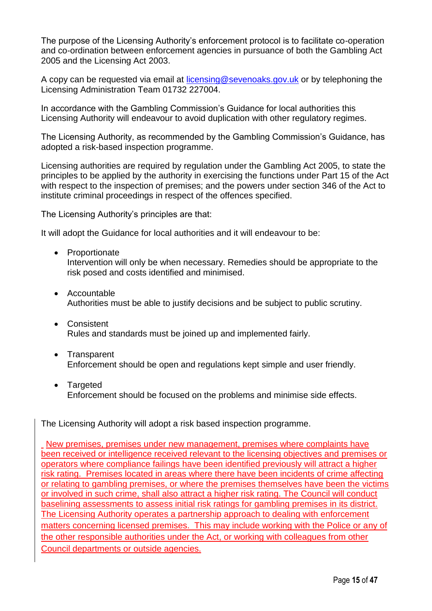The purpose of the Licensing Authority's enforcement protocol is to facilitate co-operation and co-ordination between enforcement agencies in pursuance of both the Gambling Act 2005 and the Licensing Act 2003.

A copy can be requested via email at [licensing@sevenoaks.gov.uk](mailto:licensing@sevenoaks.gov.uk) or by telephoning the Licensing Administration Team 01732 227004.

In accordance with the Gambling Commission's Guidance for local authorities this Licensing Authority will endeavour to avoid duplication with other regulatory regimes.

The Licensing Authority, as recommended by the Gambling Commission's Guidance, has adopted a risk-based inspection programme.

Licensing authorities are required by regulation under the Gambling Act 2005, to state the principles to be applied by the authority in exercising the functions under Part 15 of the Act with respect to the inspection of premises; and the powers under section 346 of the Act to institute criminal proceedings in respect of the offences specified.

The Licensing Authority's principles are that:

It will adopt the Guidance for local authorities and it will endeavour to be:

- Proportionate Intervention will only be when necessary. Remedies should be appropriate to the risk posed and costs identified and minimised.
- Accountable Authorities must be able to justify decisions and be subject to public scrutiny.
- Consistent Rules and standards must be joined up and implemented fairly.
- Transparent Enforcement should be open and regulations kept simple and user friendly.
- Targeted Enforcement should be focused on the problems and minimise side effects.

The Licensing Authority will adopt a risk based inspection programme.

New premises, premises under new management, premises where complaints have been received or intelligence received relevant to the licensing objectives and premises or operators where compliance failings have been identified previously will attract a higher risk rating. Premises located in areas where there have been incidents of crime affecting or relating to gambling premises, or where the premises themselves have been the victims or involved in such crime, shall also attract a higher risk rating. The Council will conduct baselining assessments to assess initial risk ratings for gambling premises in its district. The Licensing Authority operates a partnership approach to dealing with enforcement matters concerning licensed premises. This may include working with the Police or any of the other responsible authorities under the Act, or working with colleagues from other Council departments or outside agencies.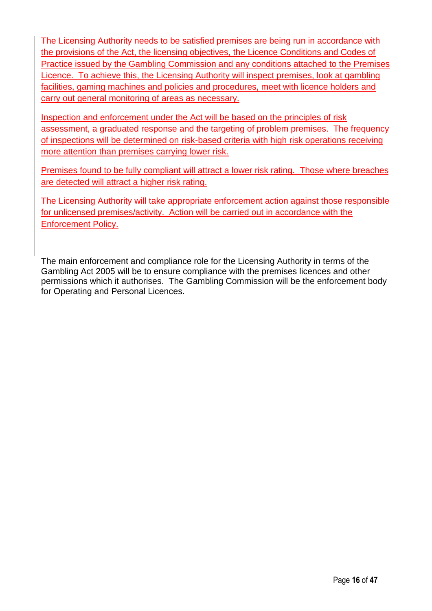The Licensing Authority needs to be satisfied premises are being run in accordance with the provisions of the Act, the licensing objectives, the Licence Conditions and Codes of Practice issued by the Gambling Commission and any conditions attached to the Premises Licence. To achieve this, the Licensing Authority will inspect premises, look at gambling facilities, gaming machines and policies and procedures, meet with licence holders and carry out general monitoring of areas as necessary.

Inspection and enforcement under the Act will be based on the principles of risk assessment, a graduated response and the targeting of problem premises. The frequency of inspections will be determined on risk-based criteria with high risk operations receiving more attention than premises carrying lower risk.

Premises found to be fully compliant will attract a lower risk rating. Those where breaches are detected will attract a higher risk rating.

The Licensing Authority will take appropriate enforcement action against those responsible for unlicensed premises/activity. Action will be carried out in accordance with the Enforcement Policy.

The main enforcement and compliance role for the Licensing Authority in terms of the Gambling Act 2005 will be to ensure compliance with the premises licences and other permissions which it authorises. The Gambling Commission will be the enforcement body for Operating and Personal Licences.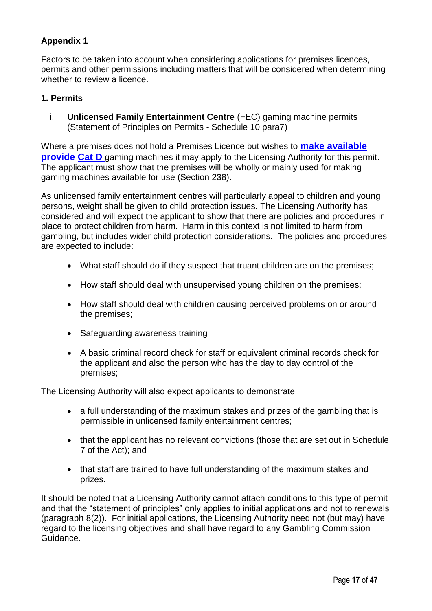#### **Appendix 1**

Factors to be taken into account when considering applications for premises licences, permits and other permissions including matters that will be considered when determining whether to review a licence.

#### **1. Permits**

i. **Unlicensed Family Entertainment Centre** (FEC) gaming machine permits (Statement of Principles on Permits - Schedule 10 para7)

Where a premises does not hold a Premises Licence but wishes to **make available provide Cat D** gaming machines it may apply to the Licensing Authority for this permit. The applicant must show that the premises will be wholly or mainly used for making gaming machines available for use (Section 238).

As unlicensed family entertainment centres will particularly appeal to children and young persons, weight shall be given to child protection issues. The Licensing Authority has considered and will expect the applicant to show that there are policies and procedures in place to protect children from harm. Harm in this context is not limited to harm from gambling, but includes wider child protection considerations. The policies and procedures are expected to include:

- What staff should do if they suspect that truant children are on the premises;
- How staff should deal with unsupervised young children on the premises;
- How staff should deal with children causing perceived problems on or around the premises;
- Safeguarding awareness training
- A basic criminal record check for staff or equivalent criminal records check for the applicant and also the person who has the day to day control of the premises;

The Licensing Authority will also expect applicants to demonstrate

- a full understanding of the maximum stakes and prizes of the gambling that is permissible in unlicensed family entertainment centres;
- that the applicant has no relevant convictions (those that are set out in Schedule 7 of the Act); and
- that staff are trained to have full understanding of the maximum stakes and prizes.

It should be noted that a Licensing Authority cannot attach conditions to this type of permit and that the "statement of principles" only applies to initial applications and not to renewals (paragraph 8(2)). For initial applications, the Licensing Authority need not (but may) have regard to the licensing objectives and shall have regard to any Gambling Commission Guidance.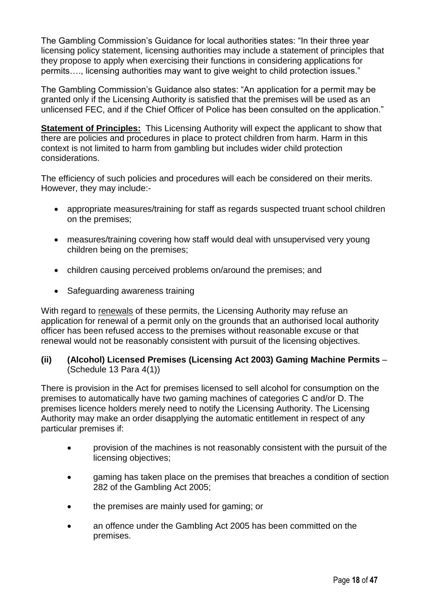The Gambling Commission's Guidance for local authorities states: "In their three year licensing policy statement, licensing authorities may include a statement of principles that they propose to apply when exercising their functions in considering applications for permits…., licensing authorities may want to give weight to child protection issues."

The Gambling Commission's Guidance also states: "An application for a permit may be granted only if the Licensing Authority is satisfied that the premises will be used as an unlicensed FEC, and if the Chief Officer of Police has been consulted on the application."

**Statement of Principles:** This Licensing Authority will expect the applicant to show that there are policies and procedures in place to protect children from harm. Harm in this context is not limited to harm from gambling but includes wider child protection considerations.

The efficiency of such policies and procedures will each be considered on their merits. However, they may include:-

- appropriate measures/training for staff as regards suspected truant school children on the premises;
- measures/training covering how staff would deal with unsupervised very young children being on the premises;
- children causing perceived problems on/around the premises; and
- Safeguarding awareness training

With regard to renewals of these permits, the Licensing Authority may refuse an application for renewal of a permit only on the grounds that an authorised local authority officer has been refused access to the premises without reasonable excuse or that renewal would not be reasonably consistent with pursuit of the licensing objectives.

#### **(ii) (Alcohol) Licensed Premises (Licensing Act 2003) Gaming Machine Permits** – (Schedule 13 Para 4(1))

There is provision in the Act for premises licensed to sell alcohol for consumption on the premises to automatically have two gaming machines of categories C and/or D. The premises licence holders merely need to notify the Licensing Authority. The Licensing Authority may make an order disapplying the automatic entitlement in respect of any particular premises if:

- provision of the machines is not reasonably consistent with the pursuit of the licensing objectives;
- gaming has taken place on the premises that breaches a condition of section 282 of the Gambling Act 2005;
- the premises are mainly used for gaming; or
- an offence under the Gambling Act 2005 has been committed on the premises.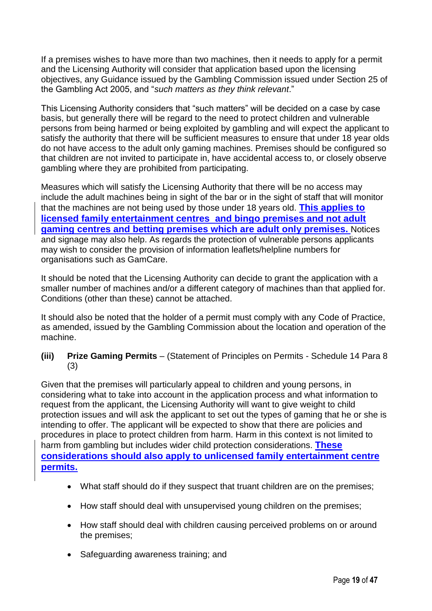If a premises wishes to have more than two machines, then it needs to apply for a permit and the Licensing Authority will consider that application based upon the licensing objectives, any Guidance issued by the Gambling Commission issued under Section 25 of the Gambling Act 2005, and "*such matters as they think relevant*."

This Licensing Authority considers that "such matters" will be decided on a case by case basis, but generally there will be regard to the need to protect children and vulnerable persons from being harmed or being exploited by gambling and will expect the applicant to satisfy the authority that there will be sufficient measures to ensure that under 18 year olds do not have access to the adult only gaming machines. Premises should be configured so that children are not invited to participate in, have accidental access to, or closely observe gambling where they are prohibited from participating.

Measures which will satisfy the Licensing Authority that there will be no access may include the adult machines being in sight of the bar or in the sight of staff that will monitor that the machines are not being used by those under 18 years old. **This applies to licensed family entertainment centres and bingo premises and not adult gaming centres and betting premises which are adult only premises.** Notices and signage may also help. As regards the protection of vulnerable persons applicants may wish to consider the provision of information leaflets/helpline numbers for organisations such as GamCare.

It should be noted that the Licensing Authority can decide to grant the application with a smaller number of machines and/or a different category of machines than that applied for. Conditions (other than these) cannot be attached.

It should also be noted that the holder of a permit must comply with any Code of Practice, as amended, issued by the Gambling Commission about the location and operation of the machine.

#### **(iii) Prize Gaming Permits** – (Statement of Principles on Permits - Schedule 14 Para 8 (3)

Given that the premises will particularly appeal to children and young persons, in considering what to take into account in the application process and what information to request from the applicant, the Licensing Authority will want to give weight to child protection issues and will ask the applicant to set out the types of gaming that he or she is intending to offer. The applicant will be expected to show that there are policies and procedures in place to protect children from harm. Harm in this context is not limited to harm from gambling but includes wider child protection considerations. **These considerations should also apply to unlicensed family entertainment centre permits.**

- What staff should do if they suspect that truant children are on the premises;
- How staff should deal with unsupervised voung children on the premises:
- How staff should deal with children causing perceived problems on or around the premises;
- Safeguarding awareness training; and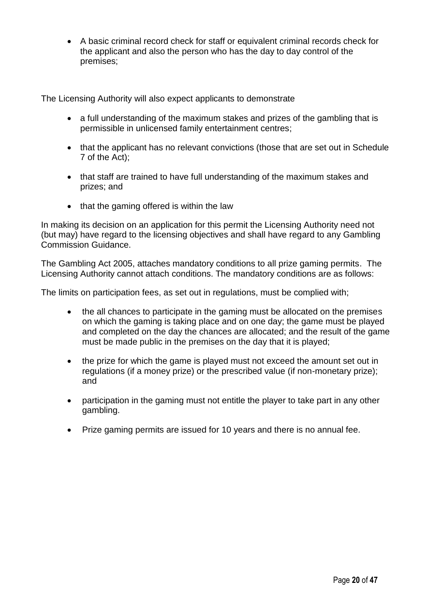A basic criminal record check for staff or equivalent criminal records check for the applicant and also the person who has the day to day control of the premises;

The Licensing Authority will also expect applicants to demonstrate

- a full understanding of the maximum stakes and prizes of the gambling that is permissible in unlicensed family entertainment centres;
- that the applicant has no relevant convictions (those that are set out in Schedule 7 of the Act);
- that staff are trained to have full understanding of the maximum stakes and prizes; and
- that the gaming offered is within the law

In making its decision on an application for this permit the Licensing Authority need not (but may) have regard to the licensing objectives and shall have regard to any Gambling Commission Guidance.

The Gambling Act 2005, attaches mandatory conditions to all prize gaming permits. The Licensing Authority cannot attach conditions. The mandatory conditions are as follows:

The limits on participation fees, as set out in regulations, must be complied with;

- the all chances to participate in the gaming must be allocated on the premises on which the gaming is taking place and on one day; the game must be played and completed on the day the chances are allocated; and the result of the game must be made public in the premises on the day that it is played;
- the prize for which the game is played must not exceed the amount set out in regulations (if a money prize) or the prescribed value (if non-monetary prize); and
- participation in the gaming must not entitle the player to take part in any other gambling.
- Prize gaming permits are issued for 10 years and there is no annual fee.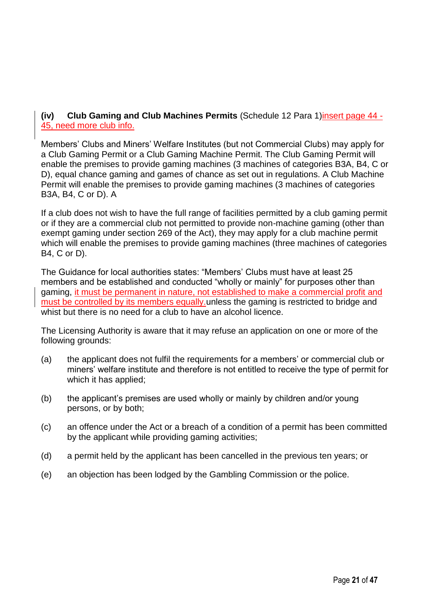#### **(iv) Club Gaming and Club Machines Permits** (Schedule 12 Para 1)insert page 44 - 45, need more club info.

Members' Clubs and Miners' Welfare Institutes (but not Commercial Clubs) may apply for a Club Gaming Permit or a Club Gaming Machine Permit. The Club Gaming Permit will enable the premises to provide gaming machines (3 machines of categories B3A, B4, C or D), equal chance gaming and games of chance as set out in regulations. A Club Machine Permit will enable the premises to provide gaming machines (3 machines of categories B3A, B4, C or D). A

If a club does not wish to have the full range of facilities permitted by a club gaming permit or if they are a commercial club not permitted to provide non-machine gaming (other than exempt gaming under section 269 of the Act), they may apply for a club machine permit which will enable the premises to provide gaming machines (three machines of categories B4, C or D).

The Guidance for local authorities states: "Members' Clubs must have at least 25 members and be established and conducted "wholly or mainly" for purposes other than gaming, it must be permanent in nature, not established to make a commercial profit and must be controlled by its members equally.unless the gaming is restricted to bridge and whist but there is no need for a club to have an alcohol licence.

The Licensing Authority is aware that it may refuse an application on one or more of the following grounds:

- (a) the applicant does not fulfil the requirements for a members' or commercial club or miners' welfare institute and therefore is not entitled to receive the type of permit for which it has applied;
- (b) the applicant's premises are used wholly or mainly by children and/or young persons, or by both;
- (c) an offence under the Act or a breach of a condition of a permit has been committed by the applicant while providing gaming activities;
- (d) a permit held by the applicant has been cancelled in the previous ten years; or
- (e) an objection has been lodged by the Gambling Commission or the police.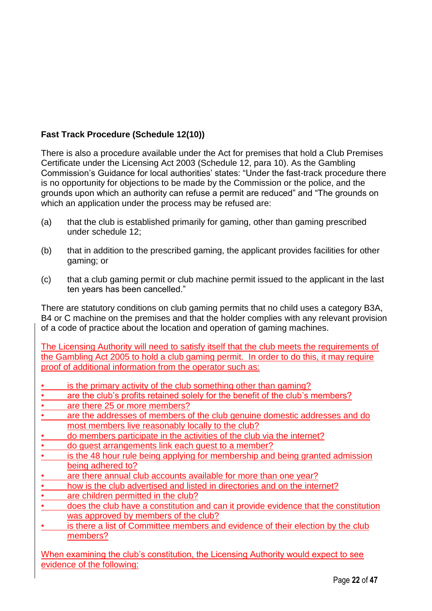#### **Fast Track Procedure (Schedule 12(10))**

There is also a procedure available under the Act for premises that hold a Club Premises Certificate under the Licensing Act 2003 (Schedule 12, para 10). As the Gambling Commission's Guidance for local authorities' states: "Under the fast-track procedure there is no opportunity for objections to be made by the Commission or the police, and the grounds upon which an authority can refuse a permit are reduced" and "The grounds on which an application under the process may be refused are:

- (a) that the club is established primarily for gaming, other than gaming prescribed under schedule 12;
- (b) that in addition to the prescribed gaming, the applicant provides facilities for other gaming; or
- (c) that a club gaming permit or club machine permit issued to the applicant in the last ten years has been cancelled."

There are statutory conditions on club gaming permits that no child uses a category B3A, B4 or C machine on the premises and that the holder complies with any relevant provision of a code of practice about the location and operation of gaming machines.

The Licensing Authority will need to satisfy itself that the club meets the requirements of the Gambling Act 2005 to hold a club gaming permit. In order to do this, it may require proof of additional information from the operator such as:

- is the primary activity of the club something other than gaming?
- are the club's profits retained solely for the benefit of the club's members?
- are there 25 or more members?
- are the addresses of members of the club genuine domestic addresses and do most members live reasonably locally to the club?
- do members participate in the activities of the club via the internet?
- do guest arrangements link each guest to a member?
- is the 48 hour rule being applying for membership and being granted admission being adhered to?
- are there annual club accounts available for more than one year?
- how is the club advertised and listed in directories and on the internet?
- are children permitted in the club?
- does the club have a constitution and can it provide evidence that the constitution was approved by members of the club?
- is there a list of Committee members and evidence of their election by the club members?

When examining the club's constitution, the Licensing Authority would expect to see evidence of the following: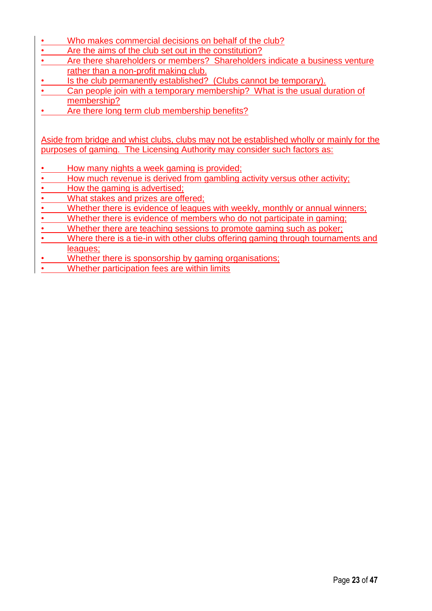- Who makes commercial decisions on behalf of the club?
- Are the aims of the club set out in the constitution?
- Are there shareholders or members? Shareholders indicate a business venture rather than a non-profit making club.
- Is the club permanently established? (Clubs cannot be temporary).
- Can people join with a temporary membership? What is the usual duration of membership?
- Are there long term club membership benefits?

Aside from bridge and whist clubs, clubs may not be established wholly or mainly for the purposes of gaming. The Licensing Authority may consider such factors as:

- How many nights a week gaming is provided;
- How much revenue is derived from gambling activity versus other activity;
- How the gaming is advertised;
- What stakes and prizes are offered;
- Whether there is evidence of leagues with weekly, monthly or annual winners;
- Whether there is evidence of members who do not participate in gaming;
- Whether there are teaching sessions to promote gaming such as poker;
- Where there is a tie-in with other clubs offering gaming through tournaments and leagues;
- Whether there is sponsorship by gaming organisations;
- Whether participation fees are within limits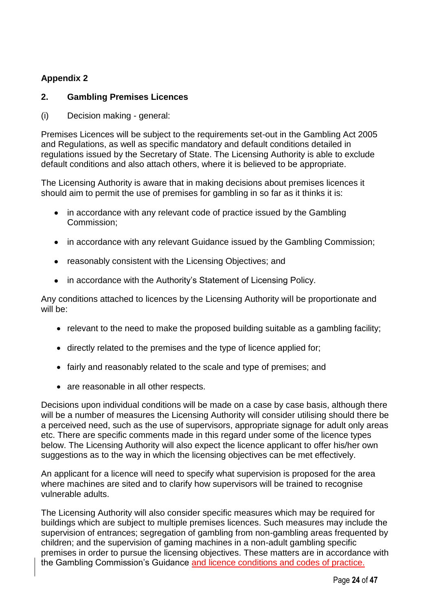#### **Appendix 2**

#### **2. Gambling Premises Licences**

(i) Decision making - general:

Premises Licences will be subject to the requirements set-out in the Gambling Act 2005 and Regulations, as well as specific mandatory and default conditions detailed in regulations issued by the Secretary of State. The Licensing Authority is able to exclude default conditions and also attach others, where it is believed to be appropriate.

The Licensing Authority is aware that in making decisions about premises licences it should aim to permit the use of premises for gambling in so far as it thinks it is:

- in accordance with any relevant code of practice issued by the Gambling Commission;
- in accordance with any relevant Guidance issued by the Gambling Commission;
- reasonably consistent with the Licensing Objectives; and
- in accordance with the Authority's Statement of Licensing Policy.

Any conditions attached to licences by the Licensing Authority will be proportionate and will be:

- relevant to the need to make the proposed building suitable as a gambling facility;
- directly related to the premises and the type of licence applied for;
- fairly and reasonably related to the scale and type of premises; and
- are reasonable in all other respects.

Decisions upon individual conditions will be made on a case by case basis, although there will be a number of measures the Licensing Authority will consider utilising should there be a perceived need, such as the use of supervisors, appropriate signage for adult only areas etc. There are specific comments made in this regard under some of the licence types below. The Licensing Authority will also expect the licence applicant to offer his/her own suggestions as to the way in which the licensing objectives can be met effectively.

An applicant for a licence will need to specify what supervision is proposed for the area where machines are sited and to clarify how supervisors will be trained to recognise vulnerable adults.

The Licensing Authority will also consider specific measures which may be required for buildings which are subject to multiple premises licences. Such measures may include the supervision of entrances; segregation of gambling from non-gambling areas frequented by children; and the supervision of gaming machines in a non-adult gambling specific premises in order to pursue the licensing objectives. These matters are in accordance with the Gambling Commission's Guidance and licence conditions and codes of practice.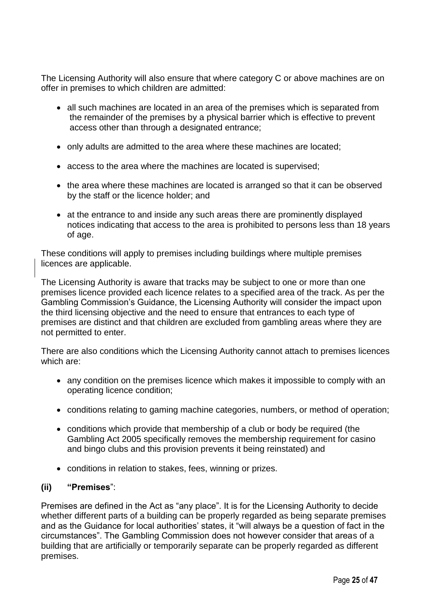The Licensing Authority will also ensure that where category C or above machines are on offer in premises to which children are admitted:

- all such machines are located in an area of the premises which is separated from the remainder of the premises by a physical barrier which is effective to prevent access other than through a designated entrance;
- only adults are admitted to the area where these machines are located;
- access to the area where the machines are located is supervised;
- the area where these machines are located is arranged so that it can be observed by the staff or the licence holder; and
- at the entrance to and inside any such areas there are prominently displayed notices indicating that access to the area is prohibited to persons less than 18 years of age.

These conditions will apply to premises including buildings where multiple premises licences are applicable.

The Licensing Authority is aware that tracks may be subject to one or more than one premises licence provided each licence relates to a specified area of the track. As per the Gambling Commission's Guidance, the Licensing Authority will consider the impact upon the third licensing objective and the need to ensure that entrances to each type of premises are distinct and that children are excluded from gambling areas where they are not permitted to enter.

There are also conditions which the Licensing Authority cannot attach to premises licences which are:

- any condition on the premises licence which makes it impossible to comply with an operating licence condition;
- conditions relating to gaming machine categories, numbers, or method of operation;
- conditions which provide that membership of a club or body be required (the Gambling Act 2005 specifically removes the membership requirement for casino and bingo clubs and this provision prevents it being reinstated) and
- conditions in relation to stakes, fees, winning or prizes.

#### **(ii) "Premises**":

Premises are defined in the Act as "any place". It is for the Licensing Authority to decide whether different parts of a building can be properly regarded as being separate premises and as the Guidance for local authorities' states, it "will always be a question of fact in the circumstances". The Gambling Commission does not however consider that areas of a building that are artificially or temporarily separate can be properly regarded as different premises.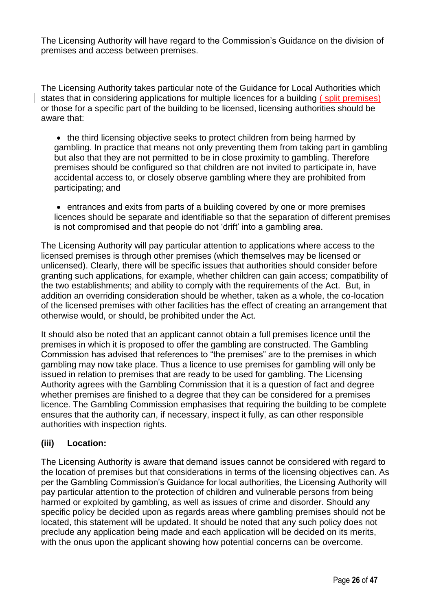The Licensing Authority will have regard to the Commission's Guidance on the division of premises and access between premises.

The Licensing Authority takes particular note of the Guidance for Local Authorities which states that in considering applications for multiple licences for a building ( split premises) or those for a specific part of the building to be licensed, licensing authorities should be aware that:

• the third licensing objective seeks to protect children from being harmed by gambling. In practice that means not only preventing them from taking part in gambling but also that they are not permitted to be in close proximity to gambling. Therefore premises should be configured so that children are not invited to participate in, have accidental access to, or closely observe gambling where they are prohibited from participating; and

 entrances and exits from parts of a building covered by one or more premises licences should be separate and identifiable so that the separation of different premises is not compromised and that people do not 'drift' into a gambling area.

The Licensing Authority will pay particular attention to applications where access to the licensed premises is through other premises (which themselves may be licensed or unlicensed). Clearly, there will be specific issues that authorities should consider before granting such applications, for example, whether children can gain access; compatibility of the two establishments; and ability to comply with the requirements of the Act. But, in addition an overriding consideration should be whether, taken as a whole, the co-location of the licensed premises with other facilities has the effect of creating an arrangement that otherwise would, or should, be prohibited under the Act.

It should also be noted that an applicant cannot obtain a full premises licence until the premises in which it is proposed to offer the gambling are constructed. The Gambling Commission has advised that references to "the premises" are to the premises in which gambling may now take place. Thus a licence to use premises for gambling will only be issued in relation to premises that are ready to be used for gambling. The Licensing Authority agrees with the Gambling Commission that it is a question of fact and degree whether premises are finished to a degree that they can be considered for a premises licence. The Gambling Commission emphasises that requiring the building to be complete ensures that the authority can, if necessary, inspect it fully, as can other responsible authorities with inspection rights.

#### **(iii) Location:**

The Licensing Authority is aware that demand issues cannot be considered with regard to the location of premises but that considerations in terms of the licensing objectives can. As per the Gambling Commission's Guidance for local authorities, the Licensing Authority will pay particular attention to the protection of children and vulnerable persons from being harmed or exploited by gambling, as well as issues of crime and disorder. Should any specific policy be decided upon as regards areas where gambling premises should not be located, this statement will be updated. It should be noted that any such policy does not preclude any application being made and each application will be decided on its merits, with the onus upon the applicant showing how potential concerns can be overcome.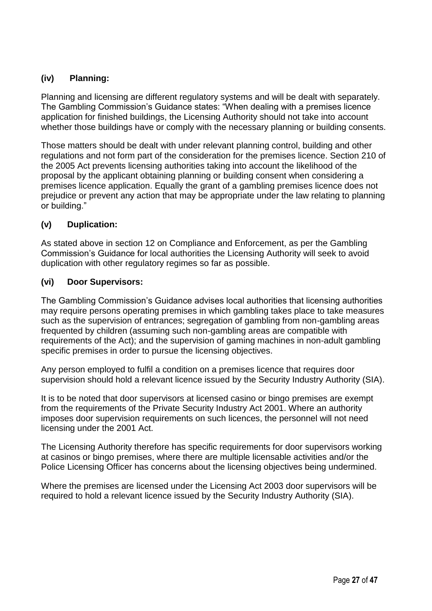#### **(iv) Planning:**

Planning and licensing are different regulatory systems and will be dealt with separately. The Gambling Commission's Guidance states: "When dealing with a premises licence application for finished buildings, the Licensing Authority should not take into account whether those buildings have or comply with the necessary planning or building consents.

Those matters should be dealt with under relevant planning control, building and other regulations and not form part of the consideration for the premises licence. Section 210 of the 2005 Act prevents licensing authorities taking into account the likelihood of the proposal by the applicant obtaining planning or building consent when considering a premises licence application. Equally the grant of a gambling premises licence does not prejudice or prevent any action that may be appropriate under the law relating to planning or building."

#### **(v) Duplication:**

As stated above in section 12 on Compliance and Enforcement, as per the Gambling Commission's Guidance for local authorities the Licensing Authority will seek to avoid duplication with other regulatory regimes so far as possible.

#### **(vi) Door Supervisors:**

The Gambling Commission's Guidance advises local authorities that licensing authorities may require persons operating premises in which gambling takes place to take measures such as the supervision of entrances; segregation of gambling from non-gambling areas frequented by children (assuming such non-gambling areas are compatible with requirements of the Act); and the supervision of gaming machines in non-adult gambling specific premises in order to pursue the licensing objectives.

Any person employed to fulfil a condition on a premises licence that requires door supervision should hold a relevant licence issued by the Security Industry Authority (SIA).

It is to be noted that door supervisors at licensed casino or bingo premises are exempt from the requirements of the Private Security Industry Act 2001. Where an authority imposes door supervision requirements on such licences, the personnel will not need licensing under the 2001 Act.

The Licensing Authority therefore has specific requirements for door supervisors working at casinos or bingo premises, where there are multiple licensable activities and/or the Police Licensing Officer has concerns about the licensing objectives being undermined.

Where the premises are licensed under the Licensing Act 2003 door supervisors will be required to hold a relevant licence issued by the Security Industry Authority (SIA).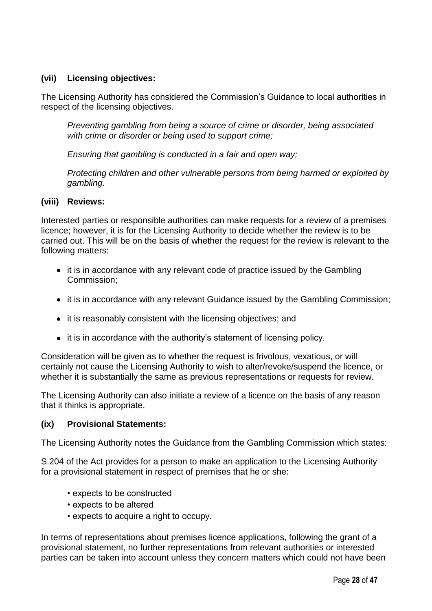#### **(vii) Licensing objectives:**

The Licensing Authority has considered the Commission's Guidance to local authorities in respect of the licensing objectives.

*Preventing gambling from being a source of crime or disorder, being associated with crime or disorder or being used to support crime;*

*Ensuring that gambling is conducted in a fair and open way;*

*Protecting children and other vulnerable persons from being harmed or exploited by gambling.*

#### **(viii) Reviews:**

Interested parties or responsible authorities can make requests for a review of a premises licence; however, it is for the Licensing Authority to decide whether the review is to be carried out. This will be on the basis of whether the request for the review is relevant to the following matters:

- it is in accordance with any relevant code of practice issued by the Gambling Commission;
- it is in accordance with any relevant Guidance issued by the Gambling Commission;
- it is reasonably consistent with the licensing objectives; and
- it is in accordance with the authority's statement of licensing policy.

Consideration will be given as to whether the request is frivolous, vexatious, or will certainly not cause the Licensing Authority to wish to alter/revoke/suspend the licence, or whether it is substantially the same as previous representations or requests for review.

The Licensing Authority can also initiate a review of a licence on the basis of any reason that it thinks is appropriate.

#### **(ix) Provisional Statements:**

The Licensing Authority notes the Guidance from the Gambling Commission which states:

S.204 of the Act provides for a person to make an application to the Licensing Authority for a provisional statement in respect of premises that he or she:

- expects to be constructed
- expects to be altered
- expects to acquire a right to occupy.

In terms of representations about premises licence applications, following the grant of a provisional statement, no further representations from relevant authorities or interested parties can be taken into account unless they concern matters which could not have been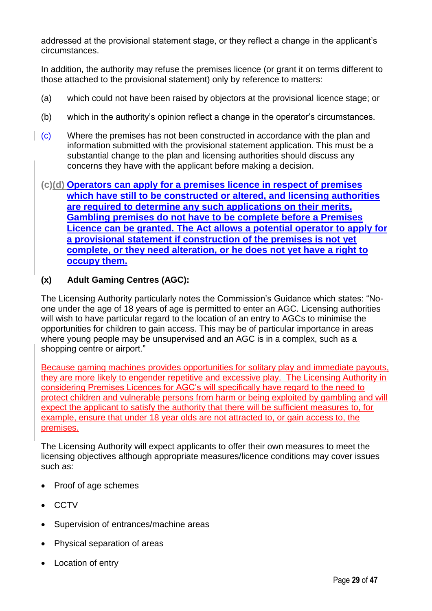addressed at the provisional statement stage, or they reflect a change in the applicant's circumstances.

In addition, the authority may refuse the premises licence (or grant it on terms different to those attached to the provisional statement) only by reference to matters:

- (a) which could not have been raised by objectors at the provisional licence stage; or
- (b) which in the authority's opinion reflect a change in the operator's circumstances.
- (c) Where the premises has not been constructed in accordance with the plan and information submitted with the provisional statement application. This must be a substantial change to the plan and licensing authorities should discuss any concerns they have with the applicant before making a decision.

#### **(c)(d) Operators can apply for a premises licence in respect of premises which have still to be constructed or altered, and licensing authorities are required to determine any such applications on their merits. Gambling premises do not have to be complete before a Premises Licence can be granted. The Act allows a potential operator to apply for a provisional statement if construction of the premises is not yet complete, or they need alteration, or he does not yet have a right to occupy them.**

#### **(x) Adult Gaming Centres (AGC):**

The Licensing Authority particularly notes the Commission's Guidance which states: "Noone under the age of 18 years of age is permitted to enter an AGC. Licensing authorities will wish to have particular regard to the location of an entry to AGCs to minimise the opportunities for children to gain access. This may be of particular importance in areas where young people may be unsupervised and an AGC is in a complex, such as a shopping centre or airport."

Because gaming machines provides opportunities for solitary play and immediate payouts, they are more likely to engender repetitive and excessive play. The Licensing Authority in considering Premises Licences for AGC's will specifically have regard to the need to protect children and vulnerable persons from harm or being exploited by gambling and will expect the applicant to satisfy the authority that there will be sufficient measures to, for example, ensure that under 18 year olds are not attracted to, or gain access to, the premises.

The Licensing Authority will expect applicants to offer their own measures to meet the licensing objectives although appropriate measures/licence conditions may cover issues such as:

- Proof of age schemes
- **CCTV**
- Supervision of entrances/machine areas
- Physical separation of areas
- Location of entry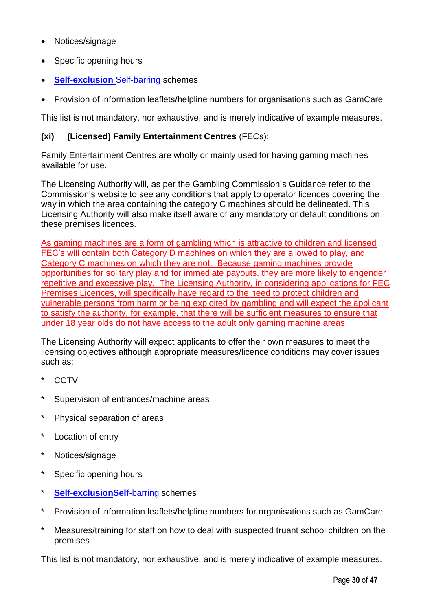- Notices/signage
- Specific opening hours
- **Self-exclusion** Self-barring-schemes
- Provision of information leaflets/helpline numbers for organisations such as GamCare

This list is not mandatory, nor exhaustive, and is merely indicative of example measures.

#### **(xi) (Licensed) Family Entertainment Centres** (FECs):

Family Entertainment Centres are wholly or mainly used for having gaming machines available for use.

The Licensing Authority will, as per the Gambling Commission's Guidance refer to the Commission's website to see any conditions that apply to operator licences covering the way in which the area containing the category C machines should be delineated. This Licensing Authority will also make itself aware of any mandatory or default conditions on these premises licences.

As gaming machines are a form of gambling which is attractive to children and licensed FEC's will contain both Category D machines on which they are allowed to play, and Category C machines on which they are not. Because gaming machines provide opportunities for solitary play and for immediate payouts, they are more likely to engender repetitive and excessive play. The Licensing Authority, in considering applications for FEC Premises Licences, will specifically have regard to the need to protect children and vulnerable persons from harm or being exploited by gambling and will expect the applicant to satisfy the authority, for example, that there will be sufficient measures to ensure that under 18 year olds do not have access to the adult only gaming machine areas.

The Licensing Authority will expect applicants to offer their own measures to meet the licensing objectives although appropriate measures/licence conditions may cover issues such as:

- CCTV
- Supervision of entrances/machine areas
- Physical separation of areas
- Location of entry
- Notices/signage
- Specific opening hours
- \* **Self-exclusionSelf**-barring schemes
- Provision of information leaflets/helpline numbers for organisations such as GamCare
- Measures/training for staff on how to deal with suspected truant school children on the premises

This list is not mandatory, nor exhaustive, and is merely indicative of example measures.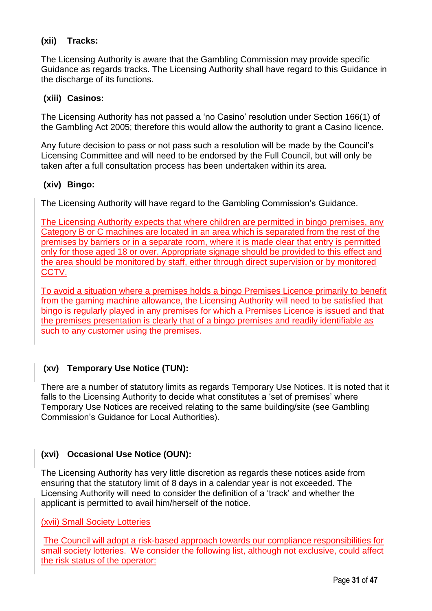#### **(xii) Tracks:**

The Licensing Authority is aware that the Gambling Commission may provide specific Guidance as regards tracks. The Licensing Authority shall have regard to this Guidance in the discharge of its functions.

#### **(xiii) Casinos:**

The Licensing Authority has not passed a 'no Casino' resolution under Section 166(1) of the Gambling Act 2005; therefore this would allow the authority to grant a Casino licence.

Any future decision to pass or not pass such a resolution will be made by the Council's Licensing Committee and will need to be endorsed by the Full Council, but will only be taken after a full consultation process has been undertaken within its area.

#### **(xiv) Bingo:**

The Licensing Authority will have regard to the Gambling Commission's Guidance.

The Licensing Authority expects that where children are permitted in bingo premises, any Category B or C machines are located in an area which is separated from the rest of the premises by barriers or in a separate room, where it is made clear that entry is permitted only for those aged 18 or over. Appropriate signage should be provided to this effect and the area should be monitored by staff, either through direct supervision or by monitored CCTV.

To avoid a situation where a premises holds a bingo Premises Licence primarily to benefit from the gaming machine allowance, the Licensing Authority will need to be satisfied that bingo is regularly played in any premises for which a Premises Licence is issued and that the premises presentation is clearly that of a bingo premises and readily identifiable as such to any customer using the premises.

#### **(xv) Temporary Use Notice (TUN):**

There are a number of statutory limits as regards Temporary Use Notices. It is noted that it falls to the Licensing Authority to decide what constitutes a 'set of premises' where Temporary Use Notices are received relating to the same building/site (see Gambling Commission's Guidance for Local Authorities).

#### **(xvi) Occasional Use Notice (OUN):**

The Licensing Authority has very little discretion as regards these notices aside from ensuring that the statutory limit of 8 days in a calendar year is not exceeded. The Licensing Authority will need to consider the definition of a 'track' and whether the applicant is permitted to avail him/herself of the notice.

(xvii) Small Society Lotteries

The Council will adopt a risk-based approach towards our compliance responsibilities for small society lotteries. We consider the following list, although not exclusive, could affect the risk status of the operator: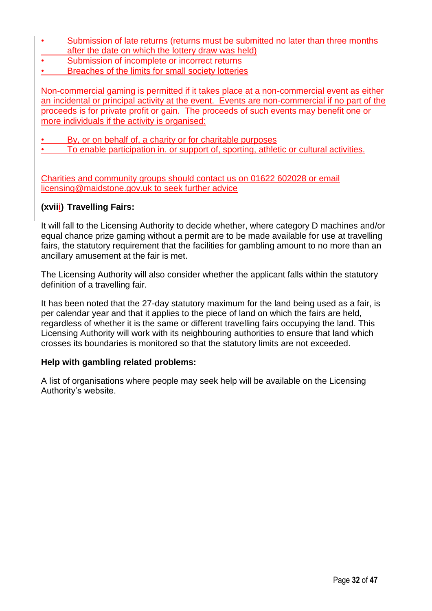- Submission of late returns (returns must be submitted no later than three months after the date on which the lottery draw was held)
- Submission of incomplete or incorrect returns
- Breaches of the limits for small society lotteries

Non-commercial gaming is permitted if it takes place at a non-commercial event as either an incidental or principal activity at the event. Events are non-commercial if no part of the proceeds is for private profit or gain. The proceeds of such events may benefit one or more individuals if the activity is organised:

- By, or on behalf of, a charity or for charitable purposes
- To enable participation in. or support of, sporting, athletic or cultural activities.

Charities and community groups should contact us on 01622 602028 or email licensing@maidstone.gov.uk to seek further advice

#### **(xviii) Travelling Fairs:**

It will fall to the Licensing Authority to decide whether, where category D machines and/or equal chance prize gaming without a permit are to be made available for use at travelling fairs, the statutory requirement that the facilities for gambling amount to no more than an ancillary amusement at the fair is met.

The Licensing Authority will also consider whether the applicant falls within the statutory definition of a travelling fair.

It has been noted that the 27-day statutory maximum for the land being used as a fair, is per calendar year and that it applies to the piece of land on which the fairs are held, regardless of whether it is the same or different travelling fairs occupying the land. This Licensing Authority will work with its neighbouring authorities to ensure that land which crosses its boundaries is monitored so that the statutory limits are not exceeded.

#### **Help with gambling related problems:**

A list of organisations where people may seek help will be available on the Licensing Authority's website.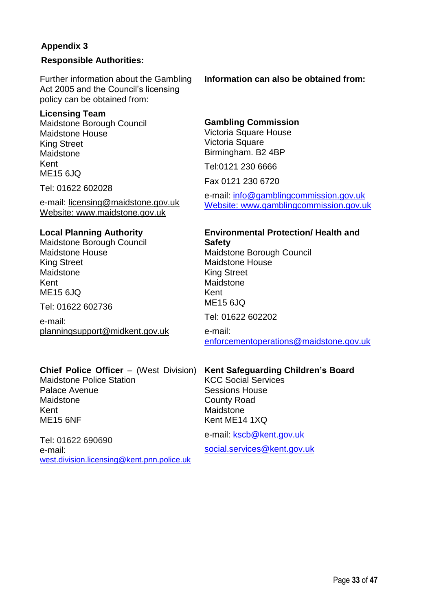#### **Appendix 3**

#### **Responsible Authorities:**

Further information about the Gambling Act 2005 and the Council's licensing policy can be obtained from:

#### **Licensing Team**

Maidstone Borough Council Maidstone House King Street Maidstone Kent ME15 6JQ

Tel: 01622 602028

e-mail: [licensing@maidstone.gov.uk](mailto:licensing@maidstone.gov.uk) Website: [www.maidstone.gov.uk](http://www.maidstone.gov.uk/)

#### **Local Planning Authority**

Maidstone Borough Council Maidstone House King Street Maidstone Kent ME15 6JQ

Tel: 01622 602736

e-mail: [planningsupport@midkent.gov.uk](mailto:planningsupport@midkent.gov.uk)

#### **Information can also be obtained from:**

#### **Gambling Commission**

Victoria Square House Victoria Square Birmingham. B2 4BP

Tel:0121 230 6666

Fax 0121 230 6720

e-mail: [info@gamblingcommission.gov.uk](mailto:info@gamblingcommission.gov.uk) Website: www.gamblingcommission.gov.uk

#### **Environmental Protection/ Health and Safety**

Maidstone Borough Council Maidstone House King Street Maidstone Kent ME15 6JQ

Tel: 01622 602202

e-mail: [enforcementoperations@maidstone.gov.uk](mailto:enforcementoperations@maidstone.gov.uk)

#### **Chief Police Officer** – (West Division)

Maidstone Police Station Palace Avenue Maidstone Kent ME15 6NF

#### **Kent Safeguarding Children's Board**

KCC Social Services Sessions House County Road Maidstone Kent ME14 1XQ

Tel: 01622 690690 e-mail: [west.division.licensing@kent.pnn.police.uk](mailto:west.division.licensing@kent.pnn.police.uk) e-mail: [kscb@kent.gov.uk](mailto:kscb@kent.gov.uk)

social.services@kent.gov.uk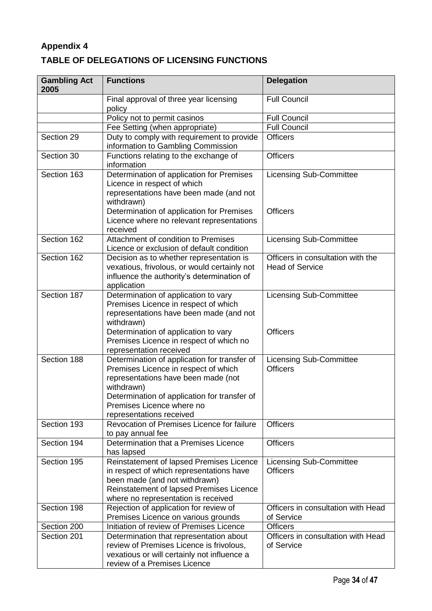#### **Appendix 4 TABLE OF DELEGATIONS OF LICENSING FUNCTIONS**

| <b>Gambling Act</b><br>2005 | <b>Functions</b>                                                                                                                                                                                                                                    | <b>Delegation</b>                                           |
|-----------------------------|-----------------------------------------------------------------------------------------------------------------------------------------------------------------------------------------------------------------------------------------------------|-------------------------------------------------------------|
|                             | Final approval of three year licensing<br>policy                                                                                                                                                                                                    | <b>Full Council</b>                                         |
|                             | Policy not to permit casinos                                                                                                                                                                                                                        | <b>Full Council</b>                                         |
|                             | Fee Setting (when appropriate)                                                                                                                                                                                                                      | <b>Full Council</b>                                         |
| Section 29                  | Duty to comply with requirement to provide<br>information to Gambling Commission                                                                                                                                                                    | <b>Officers</b>                                             |
| Section 30                  | Functions relating to the exchange of<br>information                                                                                                                                                                                                | <b>Officers</b>                                             |
| Section 163                 | Determination of application for Premises<br>Licence in respect of which<br>representations have been made (and not<br>withdrawn)<br>Determination of application for Premises<br>Licence where no relevant representations                         | <b>Licensing Sub-Committee</b><br><b>Officers</b>           |
|                             | received                                                                                                                                                                                                                                            |                                                             |
| Section 162                 | Attachment of condition to Premises<br>Licence or exclusion of default condition                                                                                                                                                                    | <b>Licensing Sub-Committee</b>                              |
| Section 162                 | Decision as to whether representation is<br>vexatious, frivolous, or would certainly not<br>influence the authority's determination of<br>application                                                                                               | Officers in consultation with the<br><b>Head of Service</b> |
| Section 187                 | Determination of application to vary<br>Premises Licence in respect of which<br>representations have been made (and not<br>withdrawn)<br>Determination of application to vary<br>Premises Licence in respect of which no<br>representation received | <b>Licensing Sub-Committee</b><br><b>Officers</b>           |
| Section 188                 | Determination of application for transfer of<br>Premises Licence in respect of which<br>representations have been made (not<br>withdrawn)<br>Determination of application for transfer of<br>Premises Licence where no<br>representations received  | <b>Licensing Sub-Committee</b><br><b>Officers</b>           |
| Section 193                 | Revocation of Premises Licence for failure<br>to pay annual fee                                                                                                                                                                                     | <b>Officers</b>                                             |
| Section 194                 | Determination that a Premises Licence<br>has lapsed                                                                                                                                                                                                 | <b>Officers</b>                                             |
| Section 195                 | Reinstatement of lapsed Premises Licence<br>in respect of which representations have<br>been made (and not withdrawn)<br>Reinstatement of lapsed Premises Licence<br>where no representation is received                                            | <b>Licensing Sub-Committee</b><br><b>Officers</b>           |
| Section 198                 | Rejection of application for review of<br>Premises Licence on various grounds                                                                                                                                                                       | Officers in consultation with Head<br>of Service            |
| Section 200                 | Initiation of review of Premises Licence                                                                                                                                                                                                            | <b>Officers</b>                                             |
| Section 201                 | Determination that representation about<br>review of Premises Licence is frivolous,<br>vexatious or will certainly not influence a<br>review of a Premises Licence                                                                                  | Officers in consultation with Head<br>of Service            |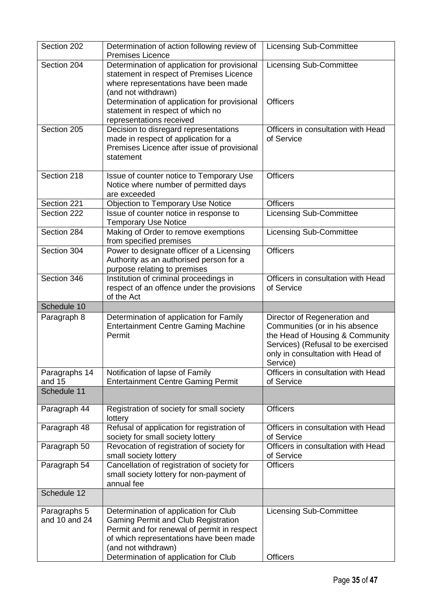| Section 202                   | Determination of action following review of<br><b>Premises Licence</b>                                                                                                                                                                        | <b>Licensing Sub-Committee</b>                                                                                                                                                           |
|-------------------------------|-----------------------------------------------------------------------------------------------------------------------------------------------------------------------------------------------------------------------------------------------|------------------------------------------------------------------------------------------------------------------------------------------------------------------------------------------|
| Section 204                   | Determination of application for provisional<br>statement in respect of Premises Licence<br>where representations have been made<br>(and not withdrawn)                                                                                       | <b>Licensing Sub-Committee</b>                                                                                                                                                           |
|                               | Determination of application for provisional<br>statement in respect of which no<br>representations received                                                                                                                                  | <b>Officers</b>                                                                                                                                                                          |
| Section 205                   | Decision to disregard representations<br>made in respect of application for a<br>Premises Licence after issue of provisional<br>statement                                                                                                     | Officers in consultation with Head<br>of Service                                                                                                                                         |
| Section 218                   | Issue of counter notice to Temporary Use<br>Notice where number of permitted days<br>are exceeded                                                                                                                                             | <b>Officers</b>                                                                                                                                                                          |
| Section 221                   | <b>Objection to Temporary Use Notice</b>                                                                                                                                                                                                      | <b>Officers</b>                                                                                                                                                                          |
| Section 222                   | Issue of counter notice in response to<br><b>Temporary Use Notice</b>                                                                                                                                                                         | <b>Licensing Sub-Committee</b>                                                                                                                                                           |
| Section 284                   | Making of Order to remove exemptions<br>from specified premises                                                                                                                                                                               | <b>Licensing Sub-Committee</b>                                                                                                                                                           |
| Section 304                   | Power to designate officer of a Licensing<br>Authority as an authorised person for a<br>purpose relating to premises                                                                                                                          | <b>Officers</b>                                                                                                                                                                          |
| Section 346                   | Institution of criminal proceedings in<br>respect of an offence under the provisions<br>of the Act                                                                                                                                            | Officers in consultation with Head<br>of Service                                                                                                                                         |
| Schedule 10                   |                                                                                                                                                                                                                                               |                                                                                                                                                                                          |
| Paragraph 8                   | Determination of application for Family<br><b>Entertainment Centre Gaming Machine</b><br>Permit                                                                                                                                               | Director of Regeneration and<br>Communities (or in his absence<br>the Head of Housing & Community<br>Services) (Refusal to be exercised<br>only in consultation with Head of<br>Service) |
| Paragraphs 14                 | Notification of lapse of Family                                                                                                                                                                                                               | Officers in consultation with Head                                                                                                                                                       |
| and 15                        | <b>Entertainment Centre Gaming Permit</b>                                                                                                                                                                                                     | of Service                                                                                                                                                                               |
| Schedule 11                   |                                                                                                                                                                                                                                               |                                                                                                                                                                                          |
| Paragraph 44                  | Registration of society for small society<br>lottery                                                                                                                                                                                          | <b>Officers</b>                                                                                                                                                                          |
| Paragraph 48                  | Refusal of application for registration of<br>society for small society lottery                                                                                                                                                               | Officers in consultation with Head<br>of Service                                                                                                                                         |
| Paragraph 50                  | Revocation of registration of society for<br>small society lottery                                                                                                                                                                            | Officers in consultation with Head<br>of Service                                                                                                                                         |
| Paragraph 54                  | Cancellation of registration of society for<br>small society lottery for non-payment of<br>annual fee                                                                                                                                         | <b>Officers</b>                                                                                                                                                                          |
| Schedule 12                   |                                                                                                                                                                                                                                               |                                                                                                                                                                                          |
| Paragraphs 5<br>and 10 and 24 | Determination of application for Club<br><b>Gaming Permit and Club Registration</b><br>Permit and for renewal of permit in respect<br>of which representations have been made<br>(and not withdrawn)<br>Determination of application for Club | <b>Licensing Sub-Committee</b><br><b>Officers</b>                                                                                                                                        |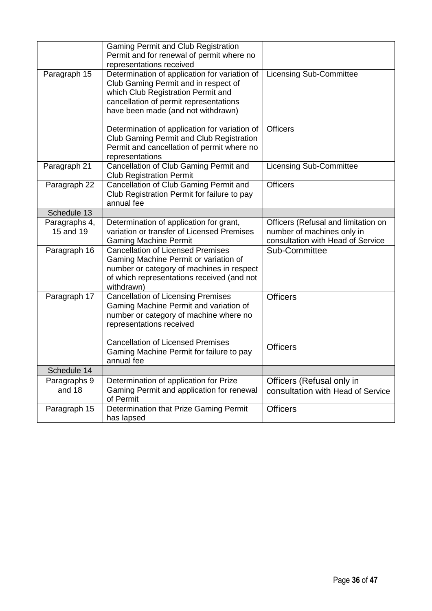|                            | <b>Gaming Permit and Club Registration</b><br>Permit and for renewal of permit where no<br>representations received                                                                                         |                                                                                                        |
|----------------------------|-------------------------------------------------------------------------------------------------------------------------------------------------------------------------------------------------------------|--------------------------------------------------------------------------------------------------------|
| Paragraph 15               | Determination of application for variation of<br>Club Gaming Permit and in respect of<br>which Club Registration Permit and<br>cancellation of permit representations<br>have been made (and not withdrawn) | <b>Licensing Sub-Committee</b>                                                                         |
|                            | Determination of application for variation of<br>Club Gaming Permit and Club Registration<br>Permit and cancellation of permit where no<br>representations                                                  | <b>Officers</b>                                                                                        |
| Paragraph 21               | Cancellation of Club Gaming Permit and<br><b>Club Registration Permit</b>                                                                                                                                   | <b>Licensing Sub-Committee</b>                                                                         |
| Paragraph 22               | Cancellation of Club Gaming Permit and<br>Club Registration Permit for failure to pay<br>annual fee                                                                                                         | <b>Officers</b>                                                                                        |
| Schedule 13                |                                                                                                                                                                                                             |                                                                                                        |
| Paragraphs 4,<br>15 and 19 | Determination of application for grant,<br>variation or transfer of Licensed Premises<br><b>Gaming Machine Permit</b>                                                                                       | Officers (Refusal and limitation on<br>number of machines only in<br>consultation with Head of Service |
| Paragraph 16               | <b>Cancellation of Licensed Premises</b><br>Gaming Machine Permit or variation of<br>number or category of machines in respect<br>of which representations received (and not<br>withdrawn)                  | Sub-Committee                                                                                          |
| Paragraph 17               | <b>Cancellation of Licensing Premises</b><br>Gaming Machine Permit and variation of<br>number or category of machine where no<br>representations received                                                   | <b>Officers</b>                                                                                        |
|                            | <b>Cancellation of Licensed Premises</b><br>Gaming Machine Permit for failure to pay<br>annual fee                                                                                                          | <b>Officers</b>                                                                                        |
| Schedule 14                |                                                                                                                                                                                                             |                                                                                                        |
| Paragraphs 9<br>and 18     | Determination of application for Prize<br>Gaming Permit and application for renewal<br>of Permit                                                                                                            | Officers (Refusal only in<br>consultation with Head of Service                                         |
| Paragraph 15               | Determination that Prize Gaming Permit<br>has lapsed                                                                                                                                                        | <b>Officers</b>                                                                                        |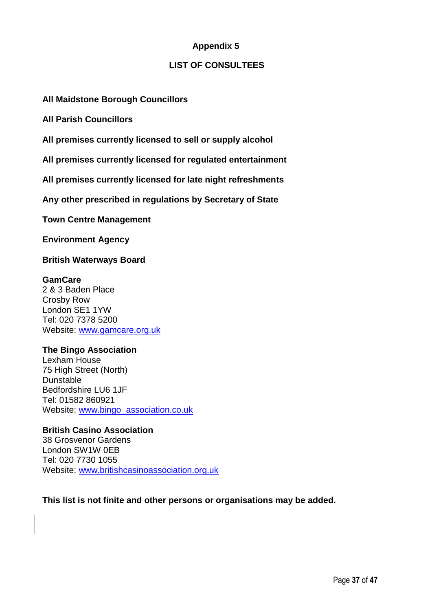#### **Appendix 5**

#### **LIST OF CONSULTEES**

#### **All Maidstone Borough Councillors**

**All Parish Councillors**

**All premises currently licensed to sell or supply alcohol**

**All premises currently licensed for regulated entertainment**

**All premises currently licensed for late night refreshments**

**Any other prescribed in regulations by Secretary of State**

**Town Centre Management**

**Environment Agency**

**British Waterways Board**

#### **GamCare**

2 & 3 Baden Place Crosby Row London SE1 1YW Tel: 020 7378 5200 Website: [www.gamcare.org.uk](http://www.gamcare.org.uk/)

#### **The Bingo Association**

Lexham House 75 High Street (North) Dunstable Bedfordshire LU6 1JF Tel: 01582 860921 Website: [www.bingo\\_association.co.uk](http://www.bingo_association.co.uk/)

#### **British Casino Association**

38 Grosvenor Gardens London SW1W 0EB Tel: 020 7730 1055 Website: [www.britishcasinoassociation.org.uk](http://www.britishcasinoassociation.org.uk/)

**This list is not finite and other persons or organisations may be added.**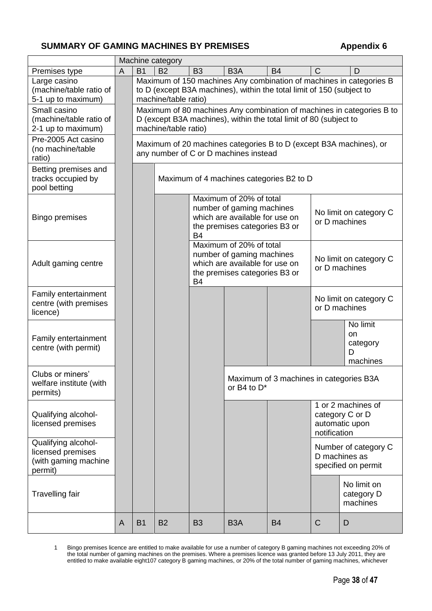#### **SUMMARY OF GAMING MACHINES BY PREMISES**  $\blacksquare$  **Appendix 6**

|                                                                             | Machine category |                                                                                                                                                                      |                                                                                                                                                                                      |           |                                                                   |                                         |              |                                                                       |
|-----------------------------------------------------------------------------|------------------|----------------------------------------------------------------------------------------------------------------------------------------------------------------------|--------------------------------------------------------------------------------------------------------------------------------------------------------------------------------------|-----------|-------------------------------------------------------------------|-----------------------------------------|--------------|-----------------------------------------------------------------------|
| Premises type                                                               | A                | <b>B1</b>                                                                                                                                                            | <b>B2</b>                                                                                                                                                                            | <b>B3</b> | B <sub>3</sub> A                                                  | <b>B4</b>                               | C            | D                                                                     |
| Large casino<br>(machine/table ratio of<br>5-1 up to maximum)               |                  | Maximum of 150 machines Any combination of machines in categories B<br>to D (except B3A machines), within the total limit of 150 (subject to<br>machine/table ratio) |                                                                                                                                                                                      |           |                                                                   |                                         |              |                                                                       |
| Small casino<br>(machine/table ratio of<br>2-1 up to maximum)               |                  |                                                                                                                                                                      | machine/table ratio)                                                                                                                                                                 |           | D (except B3A machines), within the total limit of 80 (subject to |                                         |              | Maximum of 80 machines Any combination of machines in categories B to |
| Pre-2005 Act casino<br>(no machine/table<br>ratio)                          |                  |                                                                                                                                                                      |                                                                                                                                                                                      |           | any number of C or D machines instead                             |                                         |              | Maximum of 20 machines categories B to D (except B3A machines), or    |
| Betting premises and<br>tracks occupied by<br>pool betting                  |                  |                                                                                                                                                                      |                                                                                                                                                                                      |           | Maximum of 4 machines categories B2 to D                          |                                         |              |                                                                       |
| <b>Bingo premises</b>                                                       |                  |                                                                                                                                                                      | Maximum of 20% of total<br>number of gaming machines<br>No limit on category C<br>which are available for use on<br>or D machines<br>the premises categories B3 or<br><b>B4</b>      |           |                                                                   |                                         |              |                                                                       |
| Adult gaming centre                                                         |                  |                                                                                                                                                                      | Maximum of 20% of total<br>number of gaming machines<br>No limit on category C<br>which are available for use on<br>or D machines<br>the premises categories B3 or<br>B <sub>4</sub> |           |                                                                   |                                         |              |                                                                       |
| Family entertainment<br>centre (with premises<br>licence)                   |                  |                                                                                                                                                                      |                                                                                                                                                                                      |           |                                                                   |                                         |              | No limit on category C<br>or D machines                               |
| Family entertainment<br>centre (with permit)                                |                  |                                                                                                                                                                      |                                                                                                                                                                                      |           |                                                                   |                                         |              | No limit<br><b>on</b><br>category<br>D<br>machines                    |
| Clubs or miners'<br>welfare institute (with<br>permits)                     |                  |                                                                                                                                                                      |                                                                                                                                                                                      |           | or B4 to $D^*$                                                    | Maximum of 3 machines in categories B3A |              |                                                                       |
| Qualifying alcohol-<br>licensed premises                                    |                  |                                                                                                                                                                      |                                                                                                                                                                                      |           |                                                                   |                                         | notification | 1 or 2 machines of<br>category C or D<br>automatic upon               |
| Qualifying alcohol-<br>licensed premises<br>(with gaming machine<br>permit) |                  |                                                                                                                                                                      |                                                                                                                                                                                      |           |                                                                   |                                         |              | Number of category C<br>D machines as<br>specified on permit          |
| <b>Travelling fair</b>                                                      |                  |                                                                                                                                                                      |                                                                                                                                                                                      |           |                                                                   |                                         |              | No limit on<br>category D<br>machines                                 |
|                                                                             | A                | <b>B1</b>                                                                                                                                                            | <b>B2</b>                                                                                                                                                                            | <b>B3</b> | B <sub>3</sub> A                                                  | <b>B4</b>                               | $\mathsf{C}$ | D                                                                     |

1 Bingo premises licence are entitled to make available for use a number of category B gaming machines not exceeding 20% of the total number of gaming machines on the premises. Where a premises licence was granted before 13 July 2011, they are entitled to make available eight107 category B gaming machines, or 20% of the total number of gaming machines, whichever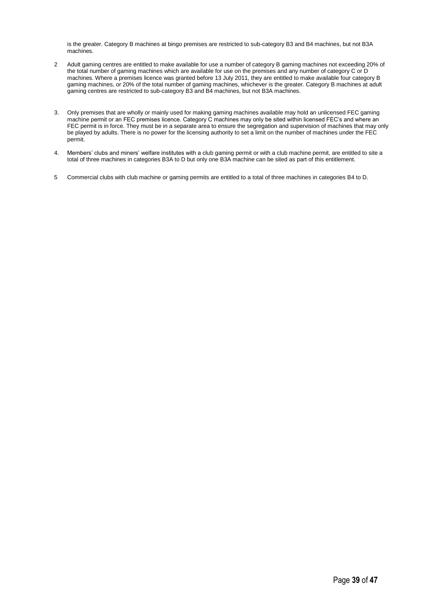is the greater. Category B machines at bingo premises are restricted to sub-category B3 and B4 machines, but not B3A machines.

- 2 Adult gaming centres are entitled to make available for use a number of category B gaming machines not exceeding 20% of the total number of gaming machines which are available for use on the premises and any number of category C or D machines. Where a premises licence was granted before 13 July 2011, they are entitled to make available four category B gaming machines, or 20% of the total number of gaming machines, whichever is the greater. Category B machines at adult gaming centres are restricted to sub-category B3 and B4 machines, but not B3A machines.
- 3. Only premises that are wholly or mainly used for making gaming machines available may hold an unlicensed FEC gaming machine permit or an FEC premises licence. Category C machines may only be sited within licensed FEC's and where an FEC permit is in force. They must be in a separate area to ensure the segregation and supervision of machines that may only be played by adults. There is no power for the licensing authority to set a limit on the number of machines under the FEC permit.
- 4. Members' clubs and miners' welfare institutes with a club gaming permit or with a club machine permit, are entitled to site a total of three machines in categories B3A to D but only one B3A machine can be sited as part of this entitlement.
- 5 Commercial clubs with club machine or gaming permits are entitled to a total of three machines in categories B4 to D.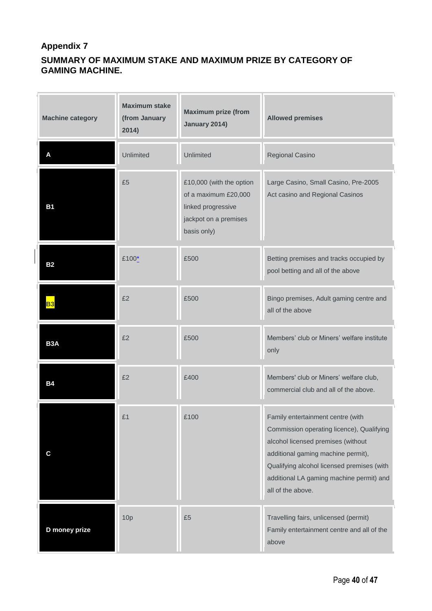#### **Appendix 7**

#### **SUMMARY OF MAXIMUM STAKE AND MAXIMUM PRIZE BY CATEGORY OF GAMING MACHINE.**

| <b>Machine category</b> | <b>Maximum stake</b><br>(from January<br>2014) | <b>Maximum prize (from</b><br><b>Allowed premises</b><br>January 2014)                                         |                                                                                                                                                                                                                                                                           |
|-------------------------|------------------------------------------------|----------------------------------------------------------------------------------------------------------------|---------------------------------------------------------------------------------------------------------------------------------------------------------------------------------------------------------------------------------------------------------------------------|
| A                       | <b>Unlimited</b>                               | Unlimited                                                                                                      | Regional Casino                                                                                                                                                                                                                                                           |
| <b>B1</b>               | £5                                             | £10,000 (with the option<br>of a maximum £20,000<br>linked progressive<br>jackpot on a premises<br>basis only) | Large Casino, Small Casino, Pre-2005<br>Act casino and Regional Casinos                                                                                                                                                                                                   |
| <b>B2</b>               | £100*                                          | £500                                                                                                           | Betting premises and tracks occupied by<br>pool betting and all of the above                                                                                                                                                                                              |
| <b>B3</b>               | £2                                             | £500                                                                                                           | Bingo premises, Adult gaming centre and<br>all of the above                                                                                                                                                                                                               |
| B <sub>3</sub> A        | £2                                             | £500                                                                                                           | Members' club or Miners' welfare institute<br>only                                                                                                                                                                                                                        |
| <b>B4</b>               | £2                                             | £400                                                                                                           | Members' club or Miners' welfare club,<br>commercial club and all of the above.                                                                                                                                                                                           |
| $\mathbf c$             | £1                                             | £100                                                                                                           | Family entertainment centre (with<br>Commission operating licence), Qualifying<br>alcohol licensed premises (without<br>additional gaming machine permit),<br>Qualifying alcohol licensed premises (with<br>additional LA gaming machine permit) and<br>all of the above. |
| D money prize           | 10p                                            | £5                                                                                                             | Travelling fairs, unlicensed (permit)<br>Family entertainment centre and all of the<br>above                                                                                                                                                                              |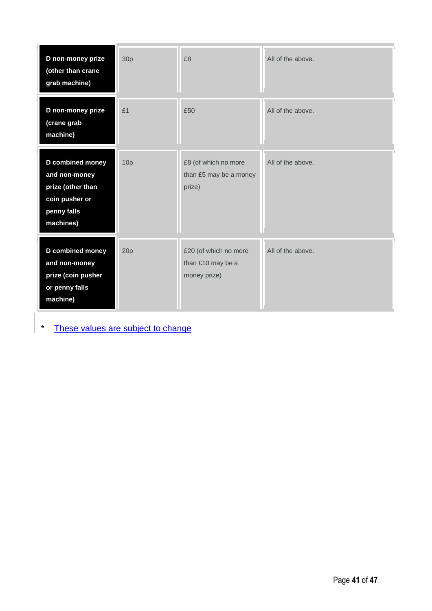| D non-money prize<br>(other than crane<br>grab machine)                                              | 30p             | £8                                                         | All of the above. |
|------------------------------------------------------------------------------------------------------|-----------------|------------------------------------------------------------|-------------------|
| D non-money prize<br>(crane grab<br>machine)                                                         | £1              | £50                                                        | All of the above. |
| D combined money<br>and non-money<br>prize (other than<br>coin pusher or<br>penny falls<br>machines) | 10 <sub>p</sub> | £8 (of which no more<br>than £5 may be a money<br>prize)   | All of the above. |
| D combined money<br>and non-money<br>prize (coin pusher<br>or penny falls<br>machine)                | 20p             | £20 (of which no more<br>than £10 may be a<br>money prize) | All of the above. |

\* These values are subject to change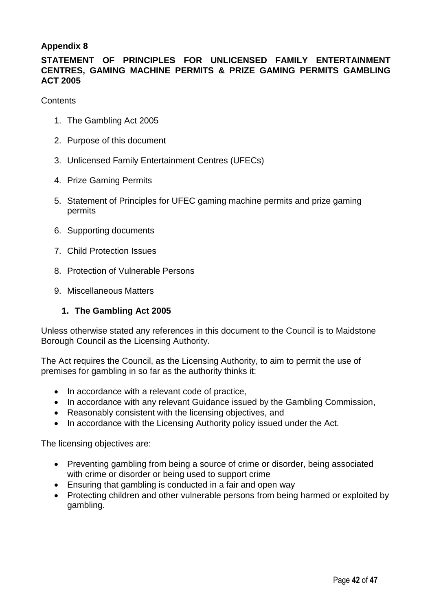#### **Appendix 8**

#### **STATEMENT OF PRINCIPLES FOR UNLICENSED FAMILY ENTERTAINMENT CENTRES, GAMING MACHINE PERMITS & PRIZE GAMING PERMITS GAMBLING ACT 2005**

**Contents** 

- 1. The Gambling Act 2005
- 2. Purpose of this document
- 3. Unlicensed Family Entertainment Centres (UFECs)
- 4. Prize Gaming Permits
- 5. Statement of Principles for UFEC gaming machine permits and prize gaming permits
- 6. Supporting documents
- 7. Child Protection Issues
- 8. Protection of Vulnerable Persons
- 9. Miscellaneous Matters

#### **1. The Gambling Act 2005**

Unless otherwise stated any references in this document to the Council is to Maidstone Borough Council as the Licensing Authority.

The Act requires the Council, as the Licensing Authority, to aim to permit the use of premises for gambling in so far as the authority thinks it:

- In accordance with a relevant code of practice,
- In accordance with any relevant Guidance issued by the Gambling Commission,
- Reasonably consistent with the licensing objectives, and
- In accordance with the Licensing Authority policy issued under the Act.

The licensing objectives are:

- Preventing gambling from being a source of crime or disorder, being associated with crime or disorder or being used to support crime
- Ensuring that gambling is conducted in a fair and open way
- Protecting children and other vulnerable persons from being harmed or exploited by gambling.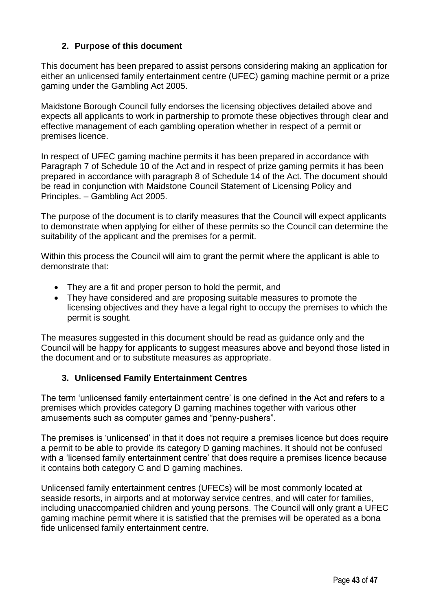#### **2. Purpose of this document**

This document has been prepared to assist persons considering making an application for either an unlicensed family entertainment centre (UFEC) gaming machine permit or a prize gaming under the Gambling Act 2005.

Maidstone Borough Council fully endorses the licensing objectives detailed above and expects all applicants to work in partnership to promote these objectives through clear and effective management of each gambling operation whether in respect of a permit or premises licence.

In respect of UFEC gaming machine permits it has been prepared in accordance with Paragraph 7 of Schedule 10 of the Act and in respect of prize gaming permits it has been prepared in accordance with paragraph 8 of Schedule 14 of the Act. The document should be read in conjunction with Maidstone Council Statement of Licensing Policy and Principles. – Gambling Act 2005.

The purpose of the document is to clarify measures that the Council will expect applicants to demonstrate when applying for either of these permits so the Council can determine the suitability of the applicant and the premises for a permit.

Within this process the Council will aim to grant the permit where the applicant is able to demonstrate that:

- They are a fit and proper person to hold the permit, and
- They have considered and are proposing suitable measures to promote the licensing objectives and they have a legal right to occupy the premises to which the permit is sought.

The measures suggested in this document should be read as guidance only and the Council will be happy for applicants to suggest measures above and beyond those listed in the document and or to substitute measures as appropriate.

#### **3. Unlicensed Family Entertainment Centres**

The term 'unlicensed family entertainment centre' is one defined in the Act and refers to a premises which provides category D gaming machines together with various other amusements such as computer games and "penny-pushers".

The premises is 'unlicensed' in that it does not require a premises licence but does require a permit to be able to provide its category D gaming machines. It should not be confused with a 'licensed family entertainment centre' that does require a premises licence because it contains both category C and D gaming machines.

Unlicensed family entertainment centres (UFECs) will be most commonly located at seaside resorts, in airports and at motorway service centres, and will cater for families, including unaccompanied children and young persons. The Council will only grant a UFEC gaming machine permit where it is satisfied that the premises will be operated as a bona fide unlicensed family entertainment centre.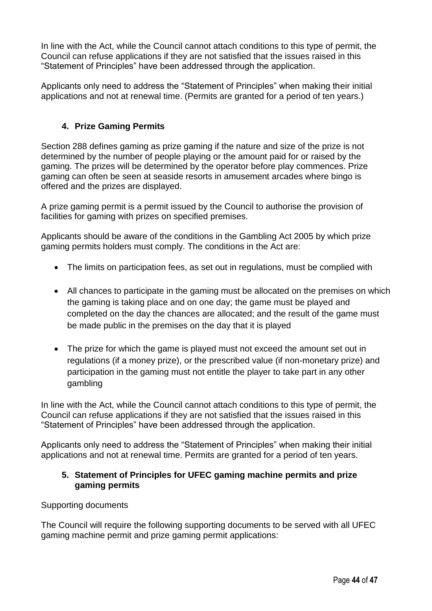In line with the Act, while the Council cannot attach conditions to this type of permit, the Council can refuse applications if they are not satisfied that the issues raised in this "Statement of Principles" have been addressed through the application.

Applicants only need to address the "Statement of Principles" when making their initial applications and not at renewal time. (Permits are granted for a period of ten years.)

#### **4. Prize Gaming Permits**

Section 288 defines gaming as prize gaming if the nature and size of the prize is not determined by the number of people playing or the amount paid for or raised by the gaming. The prizes will be determined by the operator before play commences. Prize gaming can often be seen at seaside resorts in amusement arcades where bingo is offered and the prizes are displayed.

A prize gaming permit is a permit issued by the Council to authorise the provision of facilities for gaming with prizes on specified premises.

Applicants should be aware of the conditions in the Gambling Act 2005 by which prize gaming permits holders must comply. The conditions in the Act are:

- The limits on participation fees, as set out in regulations, must be complied with
- All chances to participate in the gaming must be allocated on the premises on which the gaming is taking place and on one day; the game must be played and completed on the day the chances are allocated; and the result of the game must be made public in the premises on the day that it is played
- The prize for which the game is played must not exceed the amount set out in regulations (if a money prize), or the prescribed value (if non-monetary prize) and participation in the gaming must not entitle the player to take part in any other gambling

In line with the Act, while the Council cannot attach conditions to this type of permit, the Council can refuse applications if they are not satisfied that the issues raised in this "Statement of Principles" have been addressed through the application.

Applicants only need to address the "Statement of Principles" when making their initial applications and not at renewal time. Permits are granted for a period of ten years.

#### **5. Statement of Principles for UFEC gaming machine permits and prize gaming permits**

#### Supporting documents

The Council will require the following supporting documents to be served with all UFEC gaming machine permit and prize gaming permit applications: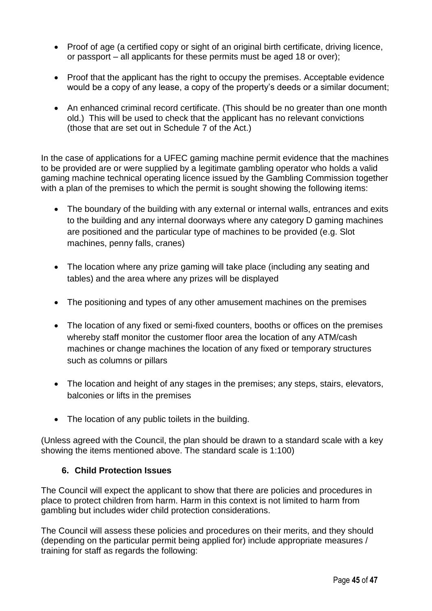- Proof of age (a certified copy or sight of an original birth certificate, driving licence, or passport – all applicants for these permits must be aged 18 or over);
- Proof that the applicant has the right to occupy the premises. Acceptable evidence would be a copy of any lease, a copy of the property's deeds or a similar document;
- An enhanced criminal record certificate. (This should be no greater than one month old.) This will be used to check that the applicant has no relevant convictions (those that are set out in Schedule 7 of the Act.)

In the case of applications for a UFEC gaming machine permit evidence that the machines to be provided are or were supplied by a legitimate gambling operator who holds a valid gaming machine technical operating licence issued by the Gambling Commission together with a plan of the premises to which the permit is sought showing the following items:

- The boundary of the building with any external or internal walls, entrances and exits to the building and any internal doorways where any category D gaming machines are positioned and the particular type of machines to be provided (e.g. Slot machines, penny falls, cranes)
- The location where any prize gaming will take place (including any seating and tables) and the area where any prizes will be displayed
- The positioning and types of any other amusement machines on the premises
- The location of any fixed or semi-fixed counters, booths or offices on the premises whereby staff monitor the customer floor area the location of any ATM/cash machines or change machines the location of any fixed or temporary structures such as columns or pillars
- The location and height of any stages in the premises; any steps, stairs, elevators, balconies or lifts in the premises
- The location of any public toilets in the building.

(Unless agreed with the Council, the plan should be drawn to a standard scale with a key showing the items mentioned above. The standard scale is 1:100)

#### **6. Child Protection Issues**

The Council will expect the applicant to show that there are policies and procedures in place to protect children from harm. Harm in this context is not limited to harm from gambling but includes wider child protection considerations.

The Council will assess these policies and procedures on their merits, and they should (depending on the particular permit being applied for) include appropriate measures / training for staff as regards the following: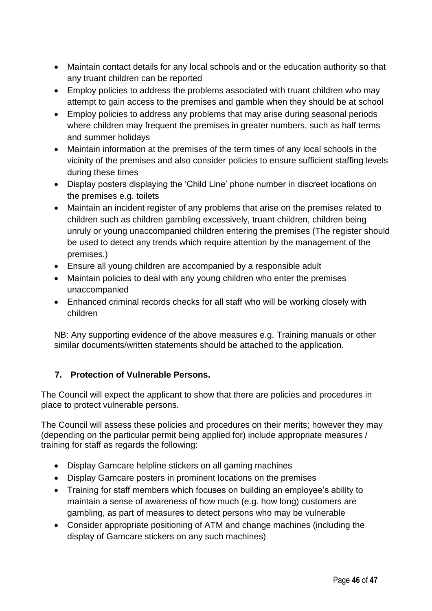- Maintain contact details for any local schools and or the education authority so that any truant children can be reported
- Employ policies to address the problems associated with truant children who may attempt to gain access to the premises and gamble when they should be at school
- Employ policies to address any problems that may arise during seasonal periods where children may frequent the premises in greater numbers, such as half terms and summer holidays
- Maintain information at the premises of the term times of any local schools in the vicinity of the premises and also consider policies to ensure sufficient staffing levels during these times
- Display posters displaying the 'Child Line' phone number in discreet locations on the premises e.g. toilets
- Maintain an incident register of any problems that arise on the premises related to children such as children gambling excessively, truant children, children being unruly or young unaccompanied children entering the premises (The register should be used to detect any trends which require attention by the management of the premises.)
- Ensure all young children are accompanied by a responsible adult
- Maintain policies to deal with any young children who enter the premises unaccompanied
- Enhanced criminal records checks for all staff who will be working closely with children

NB: Any supporting evidence of the above measures e.g. Training manuals or other similar documents/written statements should be attached to the application.

#### **7. Protection of Vulnerable Persons.**

The Council will expect the applicant to show that there are policies and procedures in place to protect vulnerable persons.

The Council will assess these policies and procedures on their merits; however they may (depending on the particular permit being applied for) include appropriate measures / training for staff as regards the following:

- Display Gamcare helpline stickers on all gaming machines
- Display Gamcare posters in prominent locations on the premises
- Training for staff members which focuses on building an employee's ability to maintain a sense of awareness of how much (e.g. how long) customers are gambling, as part of measures to detect persons who may be vulnerable
- Consider appropriate positioning of ATM and change machines (including the display of Gamcare stickers on any such machines)